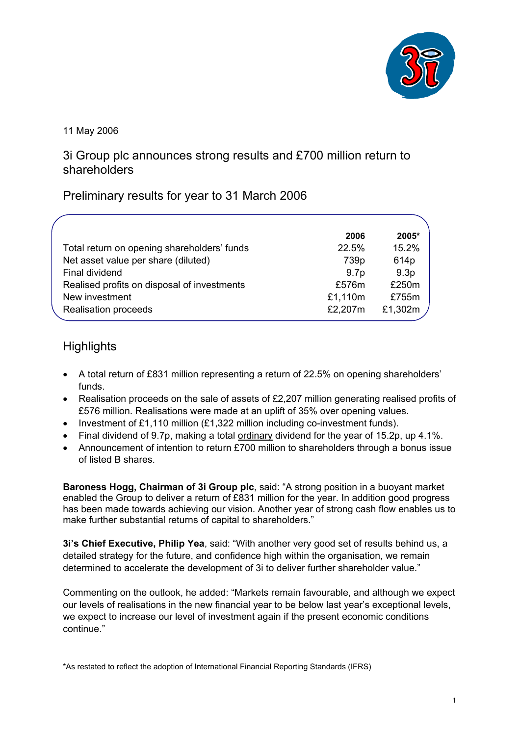

11 May 2006

3i Group plc announces strong results and £700 million return to shareholders

## Preliminary results for year to 31 March 2006

|                                             | 2006             | 2005*            |
|---------------------------------------------|------------------|------------------|
| Total return on opening shareholders' funds | 22.5%            | 15.2%            |
| Net asset value per share (diluted)         | 739p             | 614p             |
| Final dividend                              | 9.7 <sub>p</sub> | 9.3 <sub>p</sub> |
| Realised profits on disposal of investments | £576m            | £250m            |
| New investment                              | £1,110m          | £755m            |
| Realisation proceeds                        | £2,207m          | £1,302m          |
|                                             |                  |                  |

# **Highlights**

- A total return of £831 million representing a return of 22.5% on opening shareholders' funds.
- Realisation proceeds on the sale of assets of £2,207 million generating realised profits of £576 million. Realisations were made at an uplift of 35% over opening values.
- Investment of £1,110 million  $(E1,322)$  million including co-investment funds).
- Final dividend of 9.7p, making a total ordinary dividend for the year of 15.2p, up 4.1%.
- Announcement of intention to return £700 million to shareholders through a bonus issue of listed B shares.

**Baroness Hogg, Chairman of 3i Group plc**, said: "A strong position in a buoyant market enabled the Group to deliver a return of £831 million for the year. In addition good progress has been made towards achieving our vision. Another year of strong cash flow enables us to make further substantial returns of capital to shareholders."

**3i's Chief Executive, Philip Yea**, said: "With another very good set of results behind us, a detailed strategy for the future, and confidence high within the organisation, we remain determined to accelerate the development of 3i to deliver further shareholder value."

Commenting on the outlook, he added: "Markets remain favourable, and although we expect our levels of realisations in the new financial year to be below last year's exceptional levels, we expect to increase our level of investment again if the present economic conditions continue."

\*As restated to reflect the adoption of International Financial Reporting Standards (IFRS)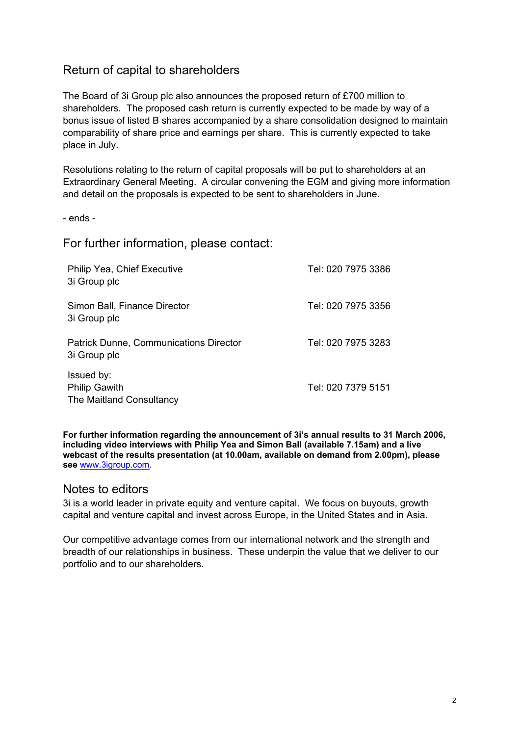## Return of capital to shareholders

The Board of 3i Group plc also announces the proposed return of £700 million to shareholders. The proposed cash return is currently expected to be made by way of a bonus issue of listed B shares accompanied by a share consolidation designed to maintain comparability of share price and earnings per share. This is currently expected to take place in July.

Resolutions relating to the return of capital proposals will be put to shareholders at an Extraordinary General Meeting. A circular convening the EGM and giving more information and detail on the proposals is expected to be sent to shareholders in June.

- ends -

For further information, please contact:

| Philip Yea, Chief Executive<br>3i Group plc                    | Tel: 020 7975 3386 |
|----------------------------------------------------------------|--------------------|
| Simon Ball, Finance Director<br>3i Group plc                   | Tel: 020 7975 3356 |
| <b>Patrick Dunne, Communications Director</b><br>3i Group plc  | Tel: 020 7975 3283 |
| Issued by:<br><b>Philip Gawith</b><br>The Maitland Consultancy | Tel: 020 7379 5151 |

**For further information regarding the announcement of 3i's annual results to 31 March 2006, including video interviews with Philip Yea and Simon Ball (available 7.15am) and a live webcast of the results presentation (at 10.00am, available on demand from 2.00pm), please see** www.3igroup.com.

### Notes to editors

3i is a world leader in private equity and venture capital. We focus on buyouts, growth capital and venture capital and invest across Europe, in the United States and in Asia.

Our competitive advantage comes from our international network and the strength and breadth of our relationships in business. These underpin the value that we deliver to our portfolio and to our shareholders.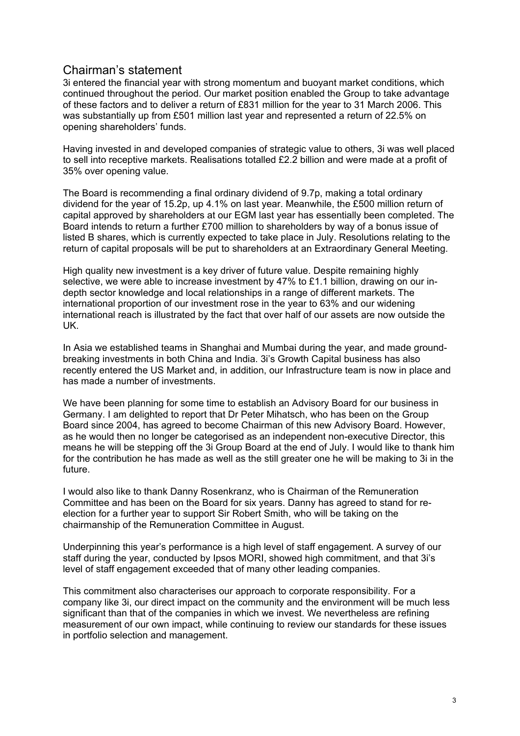## Chairman's statement

3i entered the financial year with strong momentum and buoyant market conditions, which continued throughout the period. Our market position enabled the Group to take advantage of these factors and to deliver a return of £831 million for the year to 31 March 2006. This was substantially up from £501 million last year and represented a return of 22.5% on opening shareholders' funds.

Having invested in and developed companies of strategic value to others, 3i was well placed to sell into receptive markets. Realisations totalled £2.2 billion and were made at a profit of 35% over opening value.

The Board is recommending a final ordinary dividend of 9.7p, making a total ordinary dividend for the year of 15.2p, up 4.1% on last year. Meanwhile, the £500 million return of capital approved by shareholders at our EGM last year has essentially been completed. The Board intends to return a further £700 million to shareholders by way of a bonus issue of listed B shares, which is currently expected to take place in July. Resolutions relating to the return of capital proposals will be put to shareholders at an Extraordinary General Meeting.

High quality new investment is a key driver of future value. Despite remaining highly selective, we were able to increase investment by 47% to £1.1 billion, drawing on our indepth sector knowledge and local relationships in a range of different markets. The international proportion of our investment rose in the year to 63% and our widening international reach is illustrated by the fact that over half of our assets are now outside the UK.

In Asia we established teams in Shanghai and Mumbai during the year, and made groundbreaking investments in both China and India. 3i's Growth Capital business has also recently entered the US Market and, in addition, our Infrastructure team is now in place and has made a number of investments.

We have been planning for some time to establish an Advisory Board for our business in Germany. I am delighted to report that Dr Peter Mihatsch, who has been on the Group Board since 2004, has agreed to become Chairman of this new Advisory Board. However, as he would then no longer be categorised as an independent non-executive Director, this means he will be stepping off the 3i Group Board at the end of July. I would like to thank him for the contribution he has made as well as the still greater one he will be making to 3i in the future.

I would also like to thank Danny Rosenkranz, who is Chairman of the Remuneration Committee and has been on the Board for six years. Danny has agreed to stand for reelection for a further year to support Sir Robert Smith, who will be taking on the chairmanship of the Remuneration Committee in August.

Underpinning this year's performance is a high level of staff engagement. A survey of our staff during the year, conducted by Ipsos MORI, showed high commitment, and that 3i's level of staff engagement exceeded that of many other leading companies.

This commitment also characterises our approach to corporate responsibility. For a company like 3i, our direct impact on the community and the environment will be much less significant than that of the companies in which we invest. We nevertheless are refining measurement of our own impact, while continuing to review our standards for these issues in portfolio selection and management.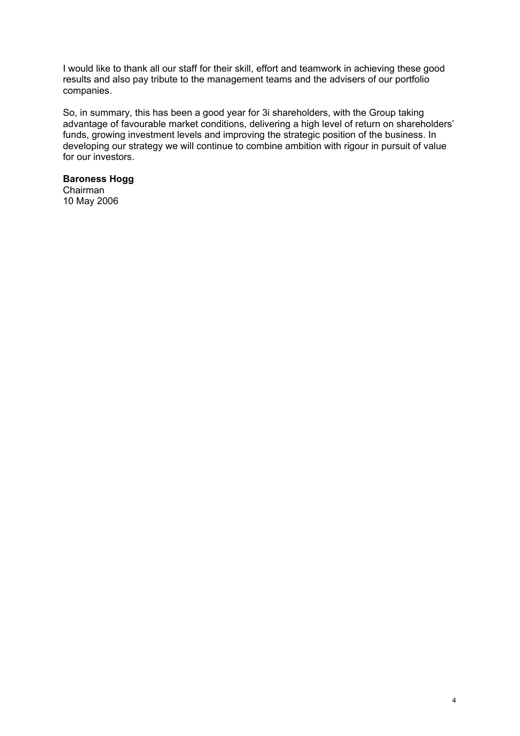I would like to thank all our staff for their skill, effort and teamwork in achieving these good results and also pay tribute to the management teams and the advisers of our portfolio companies.

So, in summary, this has been a good year for 3i shareholders, with the Group taking advantage of favourable market conditions, delivering a high level of return on shareholders' funds, growing investment levels and improving the strategic position of the business. In developing our strategy we will continue to combine ambition with rigour in pursuit of value for our investors.

### **Baroness Hogg**

Chairman 10 May 2006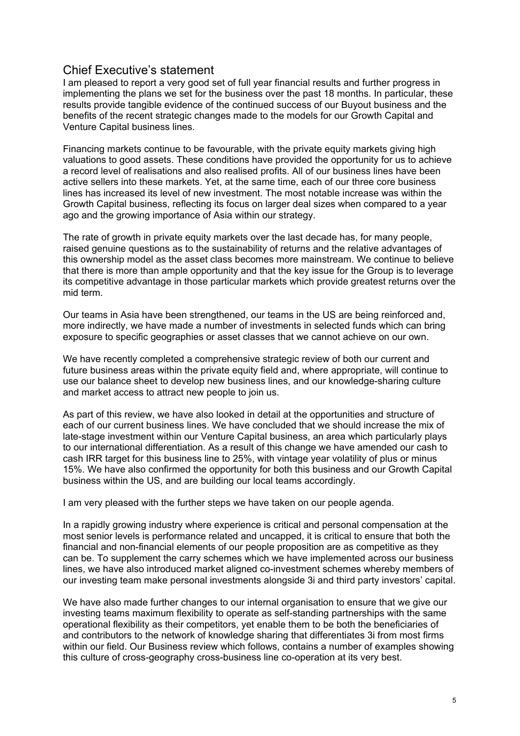## Chief Executive's statement

I am pleased to report a very good set of full year financial results and further progress in implementing the plans we set for the business over the past 18 months. In particular, these results provide tangible evidence of the continued success of our Buyout business and the benefits of the recent strategic changes made to the models for our Growth Capital and Venture Capital business lines.

Financing markets continue to be favourable, with the private equity markets giving high valuations to good assets. These conditions have provided the opportunity for us to achieve a record level of realisations and also realised profits. All of our business lines have been active sellers into these markets. Yet, at the same time, each of our three core business lines has increased its level of new investment. The most notable increase was within the Growth Capital business, reflecting its focus on larger deal sizes when compared to a year ago and the growing importance of Asia within our strategy.

The rate of growth in private equity markets over the last decade has, for many people, raised genuine questions as to the sustainability of returns and the relative advantages of this ownership model as the asset class becomes more mainstream. We continue to believe that there is more than ample opportunity and that the key issue for the Group is to leverage its competitive advantage in those particular markets which provide greatest returns over the mid term.

Our teams in Asia have been strengthened, our teams in the US are being reinforced and, more indirectly, we have made a number of investments in selected funds which can bring exposure to specific geographies or asset classes that we cannot achieve on our own.

We have recently completed a comprehensive strategic review of both our current and future business areas within the private equity field and, where appropriate, will continue to use our balance sheet to develop new business lines, and our knowledge-sharing culture and market access to attract new people to join us.

As part of this review, we have also looked in detail at the opportunities and structure of each of our current business lines. We have concluded that we should increase the mix of late-stage investment within our Venture Capital business, an area which particularly plays to our international differentiation. As a result of this change we have amended our cash to cash IRR target for this business line to 25%, with vintage year volatility of plus or minus 15%. We have also confirmed the opportunity for both this business and our Growth Capital business within the US, and are building our local teams accordingly.

I am very pleased with the further steps we have taken on our people agenda.

In a rapidly growing industry where experience is critical and personal compensation at the most senior levels is performance related and uncapped, it is critical to ensure that both the financial and non-financial elements of our people proposition are as competitive as they can be. To supplement the carry schemes which we have implemented across our business lines, we have also introduced market aligned co-investment schemes whereby members of our investing team make personal investments alongside 3i and third party investors' capital.

We have also made further changes to our internal organisation to ensure that we give our investing teams maximum flexibility to operate as self-standing partnerships with the same operational flexibility as their competitors, yet enable them to be both the beneficiaries of and contributors to the network of knowledge sharing that differentiates 3i from most firms within our field. Our Business review which follows, contains a number of examples showing this culture of cross-geography cross-business line co-operation at its very best.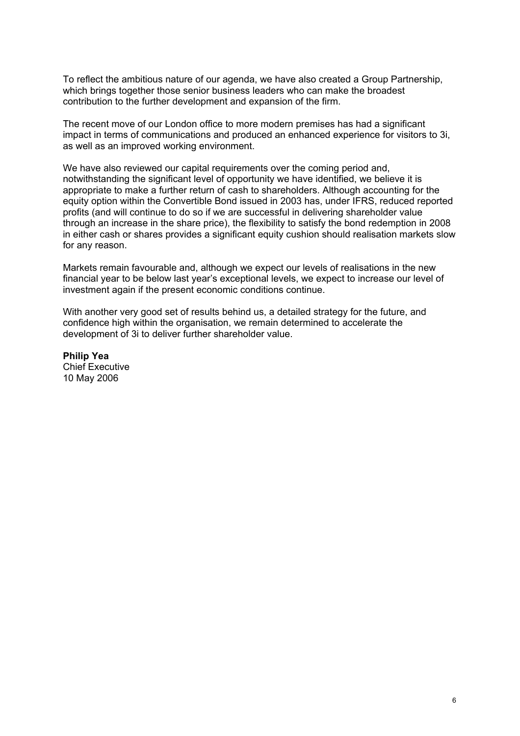To reflect the ambitious nature of our agenda, we have also created a Group Partnership, which brings together those senior business leaders who can make the broadest contribution to the further development and expansion of the firm.

The recent move of our London office to more modern premises has had a significant impact in terms of communications and produced an enhanced experience for visitors to 3i, as well as an improved working environment.

We have also reviewed our capital requirements over the coming period and, notwithstanding the significant level of opportunity we have identified, we believe it is appropriate to make a further return of cash to shareholders. Although accounting for the equity option within the Convertible Bond issued in 2003 has, under IFRS, reduced reported profits (and will continue to do so if we are successful in delivering shareholder value through an increase in the share price), the flexibility to satisfy the bond redemption in 2008 in either cash or shares provides a significant equity cushion should realisation markets slow for any reason.

Markets remain favourable and, although we expect our levels of realisations in the new financial year to be below last year's exceptional levels, we expect to increase our level of investment again if the present economic conditions continue.

With another very good set of results behind us, a detailed strategy for the future, and confidence high within the organisation, we remain determined to accelerate the development of 3i to deliver further shareholder value.

**Philip Yea**  Chief Executive 10 May 2006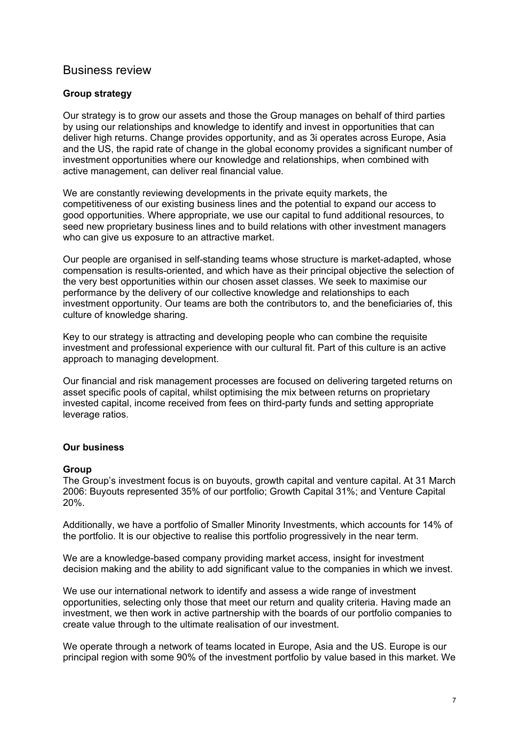## Business review

### **Group strategy**

Our strategy is to grow our assets and those the Group manages on behalf of third parties by using our relationships and knowledge to identify and invest in opportunities that can deliver high returns. Change provides opportunity, and as 3i operates across Europe, Asia and the US, the rapid rate of change in the global economy provides a significant number of investment opportunities where our knowledge and relationships, when combined with active management, can deliver real financial value.

We are constantly reviewing developments in the private equity markets, the competitiveness of our existing business lines and the potential to expand our access to good opportunities. Where appropriate, we use our capital to fund additional resources, to seed new proprietary business lines and to build relations with other investment managers who can give us exposure to an attractive market.

Our people are organised in self-standing teams whose structure is market-adapted, whose compensation is results-oriented, and which have as their principal objective the selection of the very best opportunities within our chosen asset classes. We seek to maximise our performance by the delivery of our collective knowledge and relationships to each investment opportunity. Our teams are both the contributors to, and the beneficiaries of, this culture of knowledge sharing.

Key to our strategy is attracting and developing people who can combine the requisite investment and professional experience with our cultural fit. Part of this culture is an active approach to managing development.

Our financial and risk management processes are focused on delivering targeted returns on asset specific pools of capital, whilst optimising the mix between returns on proprietary invested capital, income received from fees on third-party funds and setting appropriate leverage ratios.

#### **Our business**

#### **Group**

The Group's investment focus is on buyouts, growth capital and venture capital. At 31 March 2006: Buyouts represented 35% of our portfolio; Growth Capital 31%; and Venture Capital 20%.

Additionally, we have a portfolio of Smaller Minority Investments, which accounts for 14% of the portfolio. It is our objective to realise this portfolio progressively in the near term.

We are a knowledge-based company providing market access, insight for investment decision making and the ability to add significant value to the companies in which we invest.

We use our international network to identify and assess a wide range of investment opportunities, selecting only those that meet our return and quality criteria. Having made an investment, we then work in active partnership with the boards of our portfolio companies to create value through to the ultimate realisation of our investment.

We operate through a network of teams located in Europe, Asia and the US. Europe is our principal region with some 90% of the investment portfolio by value based in this market. We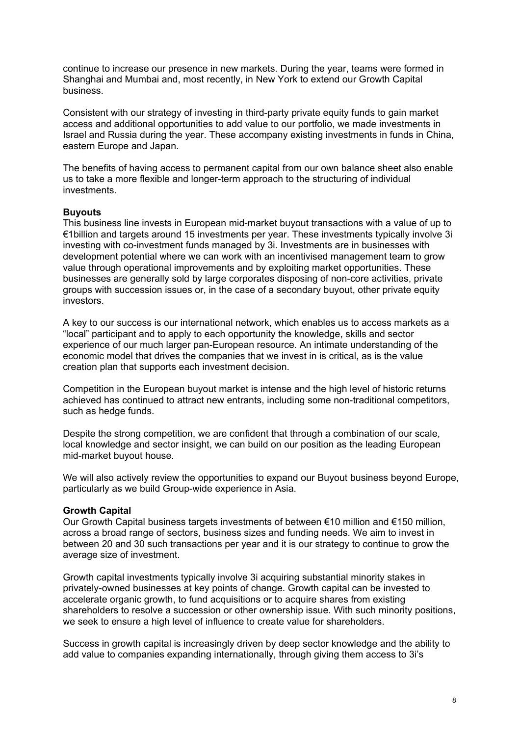continue to increase our presence in new markets. During the year, teams were formed in Shanghai and Mumbai and, most recently, in New York to extend our Growth Capital business.

Consistent with our strategy of investing in third-party private equity funds to gain market access and additional opportunities to add value to our portfolio, we made investments in Israel and Russia during the year. These accompany existing investments in funds in China, eastern Europe and Japan.

The benefits of having access to permanent capital from our own balance sheet also enable us to take a more flexible and longer-term approach to the structuring of individual investments.

#### **Buyouts**

This business line invests in European mid-market buyout transactions with a value of up to €1billion and targets around 15 investments per year. These investments typically involve 3i investing with co-investment funds managed by 3i. Investments are in businesses with development potential where we can work with an incentivised management team to grow value through operational improvements and by exploiting market opportunities. These businesses are generally sold by large corporates disposing of non-core activities, private groups with succession issues or, in the case of a secondary buyout, other private equity investors.

A key to our success is our international network, which enables us to access markets as a "local" participant and to apply to each opportunity the knowledge, skills and sector experience of our much larger pan-European resource. An intimate understanding of the economic model that drives the companies that we invest in is critical, as is the value creation plan that supports each investment decision.

Competition in the European buyout market is intense and the high level of historic returns achieved has continued to attract new entrants, including some non-traditional competitors, such as hedge funds.

Despite the strong competition, we are confident that through a combination of our scale, local knowledge and sector insight, we can build on our position as the leading European mid-market buyout house.

We will also actively review the opportunities to expand our Buyout business beyond Europe, particularly as we build Group-wide experience in Asia.

#### **Growth Capital**

Our Growth Capital business targets investments of between €10 million and €150 million, across a broad range of sectors, business sizes and funding needs. We aim to invest in between 20 and 30 such transactions per year and it is our strategy to continue to grow the average size of investment.

Growth capital investments typically involve 3i acquiring substantial minority stakes in privately-owned businesses at key points of change. Growth capital can be invested to accelerate organic growth, to fund acquisitions or to acquire shares from existing shareholders to resolve a succession or other ownership issue. With such minority positions, we seek to ensure a high level of influence to create value for shareholders.

Success in growth capital is increasingly driven by deep sector knowledge and the ability to add value to companies expanding internationally, through giving them access to 3i's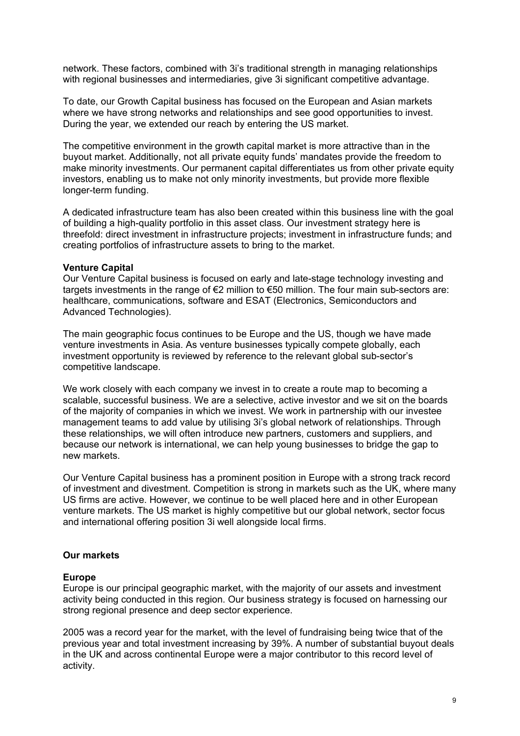network. These factors, combined with 3i's traditional strength in managing relationships with regional businesses and intermediaries, give 3i significant competitive advantage.

To date, our Growth Capital business has focused on the European and Asian markets where we have strong networks and relationships and see good opportunities to invest. During the year, we extended our reach by entering the US market.

The competitive environment in the growth capital market is more attractive than in the buyout market. Additionally, not all private equity funds' mandates provide the freedom to make minority investments. Our permanent capital differentiates us from other private equity investors, enabling us to make not only minority investments, but provide more flexible longer-term funding.

A dedicated infrastructure team has also been created within this business line with the goal of building a high-quality portfolio in this asset class. Our investment strategy here is threefold: direct investment in infrastructure projects; investment in infrastructure funds; and creating portfolios of infrastructure assets to bring to the market.

#### **Venture Capital**

Our Venture Capital business is focused on early and late-stage technology investing and targets investments in the range of  $\epsilon$ 2 million to  $\epsilon$ 50 million. The four main sub-sectors are: healthcare, communications, software and ESAT (Electronics, Semiconductors and Advanced Technologies).

The main geographic focus continues to be Europe and the US, though we have made venture investments in Asia. As venture businesses typically compete globally, each investment opportunity is reviewed by reference to the relevant global sub-sector's competitive landscape.

We work closely with each company we invest in to create a route map to becoming a scalable, successful business. We are a selective, active investor and we sit on the boards of the majority of companies in which we invest. We work in partnership with our investee management teams to add value by utilising 3i's global network of relationships. Through these relationships, we will often introduce new partners, customers and suppliers, and because our network is international, we can help young businesses to bridge the gap to new markets.

Our Venture Capital business has a prominent position in Europe with a strong track record of investment and divestment. Competition is strong in markets such as the UK, where many US firms are active. However, we continue to be well placed here and in other European venture markets. The US market is highly competitive but our global network, sector focus and international offering position 3i well alongside local firms.

#### **Our markets**

#### **Europe**

Europe is our principal geographic market, with the majority of our assets and investment activity being conducted in this region. Our business strategy is focused on harnessing our strong regional presence and deep sector experience.

2005 was a record year for the market, with the level of fundraising being twice that of the previous year and total investment increasing by 39%. A number of substantial buyout deals in the UK and across continental Europe were a major contributor to this record level of activity.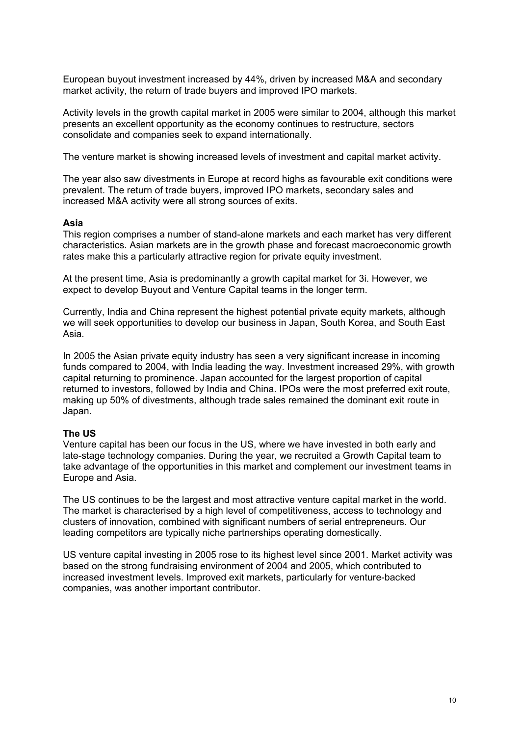European buyout investment increased by 44%, driven by increased M&A and secondary market activity, the return of trade buyers and improved IPO markets.

Activity levels in the growth capital market in 2005 were similar to 2004, although this market presents an excellent opportunity as the economy continues to restructure, sectors consolidate and companies seek to expand internationally.

The venture market is showing increased levels of investment and capital market activity.

The year also saw divestments in Europe at record highs as favourable exit conditions were prevalent. The return of trade buyers, improved IPO markets, secondary sales and increased M&A activity were all strong sources of exits.

#### **Asia**

This region comprises a number of stand-alone markets and each market has very different characteristics. Asian markets are in the growth phase and forecast macroeconomic growth rates make this a particularly attractive region for private equity investment.

At the present time, Asia is predominantly a growth capital market for 3i. However, we expect to develop Buyout and Venture Capital teams in the longer term.

Currently, India and China represent the highest potential private equity markets, although we will seek opportunities to develop our business in Japan, South Korea, and South East Asia.

In 2005 the Asian private equity industry has seen a very significant increase in incoming funds compared to 2004, with India leading the way. Investment increased 29%, with growth capital returning to prominence. Japan accounted for the largest proportion of capital returned to investors, followed by India and China. IPOs were the most preferred exit route, making up 50% of divestments, although trade sales remained the dominant exit route in Japan.

#### **The US**

Venture capital has been our focus in the US, where we have invested in both early and late-stage technology companies. During the year, we recruited a Growth Capital team to take advantage of the opportunities in this market and complement our investment teams in Europe and Asia.

The US continues to be the largest and most attractive venture capital market in the world. The market is characterised by a high level of competitiveness, access to technology and clusters of innovation, combined with significant numbers of serial entrepreneurs. Our leading competitors are typically niche partnerships operating domestically.

US venture capital investing in 2005 rose to its highest level since 2001. Market activity was based on the strong fundraising environment of 2004 and 2005, which contributed to increased investment levels. Improved exit markets, particularly for venture-backed companies, was another important contributor.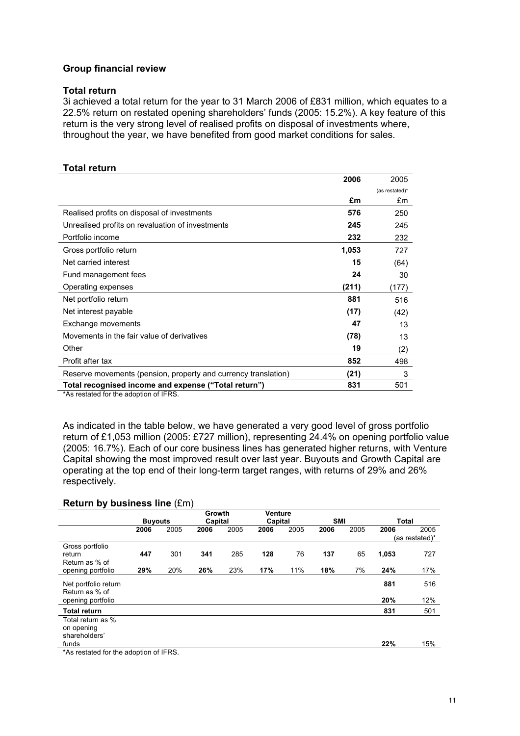#### **Group financial review**

#### **Total return**

3i achieved a total return for the year to 31 March 2006 of £831 million, which equates to a 22.5% return on restated opening shareholders' funds (2005: 15.2%). A key feature of this return is the very strong level of realised profits on disposal of investments where, throughout the year, we have benefited from good market conditions for sales.

#### **Total return**

|                                                                | 2006  | 2005           |
|----------------------------------------------------------------|-------|----------------|
|                                                                |       | (as restated)* |
|                                                                | £m    | £m             |
| Realised profits on disposal of investments                    | 576   | 250            |
| Unrealised profits on revaluation of investments               | 245   | 245            |
| Portfolio income                                               | 232   | 232            |
| Gross portfolio return                                         | 1,053 | 727            |
| Net carried interest                                           | 15    | (64)           |
| Fund management fees                                           | 24    | 30             |
| Operating expenses                                             | (211) | (177)          |
| Net portfolio return                                           | 881   | 516            |
| Net interest payable                                           | (17)  | (42)           |
| Exchange movements                                             | 47    | 13             |
| Movements in the fair value of derivatives                     | (78)  | 13             |
| Other                                                          | 19    | (2)            |
| Profit after tax                                               | 852   | 498            |
| Reserve movements (pension, property and currency translation) | (21)  | 3              |
| Total recognised income and expense ("Total return")           | 831   | 501            |

\*As restated for the adoption of IFRS.

As indicated in the table below, we have generated a very good level of gross portfolio return of £1,053 million (2005: £727 million), representing 24.4% on opening portfolio value (2005: 16.7%). Each of our core business lines has generated higher returns, with Venture Capital showing the most improved result over last year. Buyouts and Growth Capital are operating at the top end of their long-term target ranges, with returns of 29% and 26% respectively.

### **Return by business line** (£m)

|                                                  | <b>Buyouts</b> |      | Growth<br>Capital |      | <b>Venture</b><br>Capital |      | <b>SMI</b> |      | <b>Total</b> |                |
|--------------------------------------------------|----------------|------|-------------------|------|---------------------------|------|------------|------|--------------|----------------|
|                                                  | 2006           | 2005 | 2006              | 2005 | 2006                      | 2005 | 2006       | 2005 | 2006         | 2005           |
|                                                  |                |      |                   |      |                           |      |            |      |              | (as restated)* |
| Gross portfolio<br>return                        | 447            | 301  | 341               | 285  | 128                       | 76   | 137        | 65   | 1,053        | 727            |
| Return as % of<br>opening portfolio              | 29%            | 20%  | 26%               | 23%  | 17%                       | 11%  | 18%        | 7%   | 24%          | 17%            |
| Net portfolio return<br>Return as % of           |                |      |                   |      |                           |      |            |      | 881          | 516            |
| opening portfolio                                |                |      |                   |      |                           |      |            |      | 20%          | 12%            |
| Total return                                     |                |      |                   |      |                           |      |            |      | 831          | 501            |
| Total return as %<br>on opening<br>shareholders' |                |      |                   |      |                           |      |            |      |              |                |
| funds                                            |                |      |                   |      |                           |      |            |      | 22%          | 15%            |
| *As restated for the adoption of IFRS.           |                |      |                   |      |                           |      |            |      |              |                |

11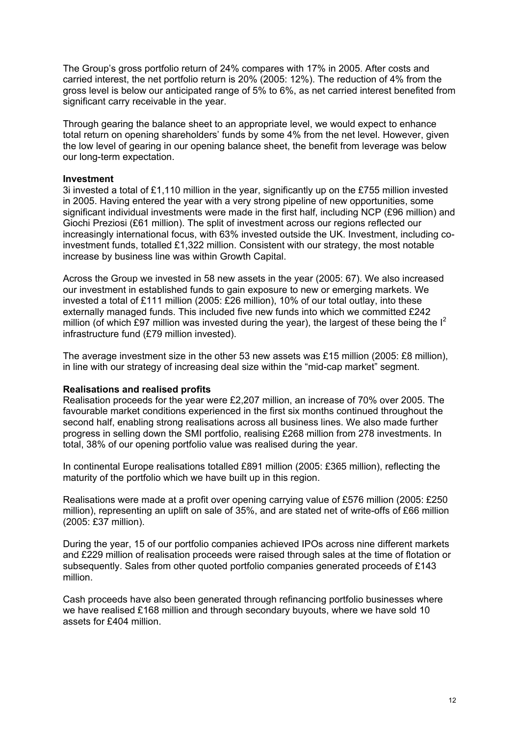The Group's gross portfolio return of 24% compares with 17% in 2005. After costs and carried interest, the net portfolio return is 20% (2005: 12%). The reduction of 4% from the gross level is below our anticipated range of 5% to 6%, as net carried interest benefited from significant carry receivable in the year.

Through gearing the balance sheet to an appropriate level, we would expect to enhance total return on opening shareholders' funds by some 4% from the net level. However, given the low level of gearing in our opening balance sheet, the benefit from leverage was below our long-term expectation.

#### **Investment**

3i invested a total of £1,110 million in the year, significantly up on the £755 million invested in 2005. Having entered the year with a very strong pipeline of new opportunities, some significant individual investments were made in the first half, including NCP (£96 million) and Giochi Preziosi (£61 million). The split of investment across our regions reflected our increasingly international focus, with 63% invested outside the UK. Investment, including coinvestment funds, totalled £1,322 million. Consistent with our strategy, the most notable increase by business line was within Growth Capital.

Across the Group we invested in 58 new assets in the year (2005: 67). We also increased our investment in established funds to gain exposure to new or emerging markets. We invested a total of £111 million (2005: £26 million), 10% of our total outlay, into these externally managed funds. This included five new funds into which we committed £242 million (of which £97 million was invested during the year), the largest of these being the  $I^2$ infrastructure fund (£79 million invested).

The average investment size in the other 53 new assets was £15 million (2005: £8 million), in line with our strategy of increasing deal size within the "mid-cap market" segment.

#### **Realisations and realised profits**

Realisation proceeds for the year were £2,207 million, an increase of 70% over 2005. The favourable market conditions experienced in the first six months continued throughout the second half, enabling strong realisations across all business lines. We also made further progress in selling down the SMI portfolio, realising £268 million from 278 investments. In total, 38% of our opening portfolio value was realised during the year.

In continental Europe realisations totalled £891 million (2005: £365 million), reflecting the maturity of the portfolio which we have built up in this region.

Realisations were made at a profit over opening carrying value of £576 million (2005: £250 million), representing an uplift on sale of 35%, and are stated net of write-offs of £66 million (2005: £37 million).

During the year, 15 of our portfolio companies achieved IPOs across nine different markets and £229 million of realisation proceeds were raised through sales at the time of flotation or subsequently. Sales from other quoted portfolio companies generated proceeds of £143 million.

Cash proceeds have also been generated through refinancing portfolio businesses where we have realised £168 million and through secondary buyouts, where we have sold 10 assets for £404 million.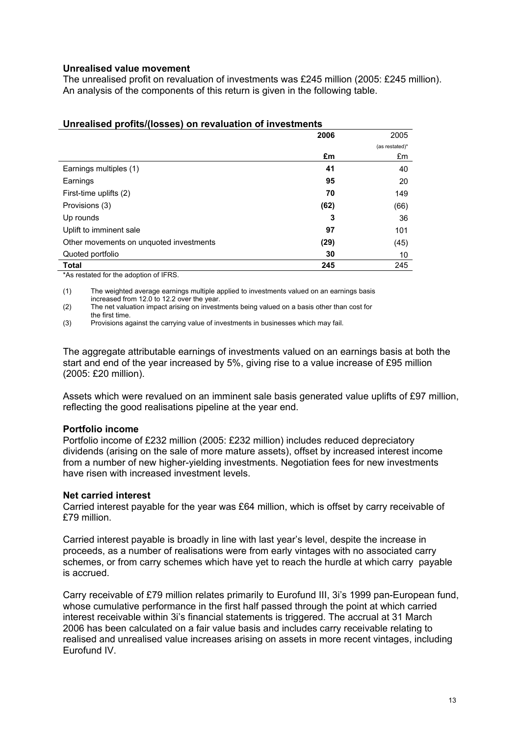#### **Unrealised value movement**

The unrealised profit on revaluation of investments was £245 million (2005: £245 million). An analysis of the components of this return is given in the following table.

|                                         | 2006 | 2005           |
|-----------------------------------------|------|----------------|
|                                         |      | (as restated)* |
|                                         | £m   | £m             |
| Earnings multiples (1)                  | 41   | 40             |
| Earnings                                | 95   | 20             |
| First-time uplifts (2)                  | 70   | 149            |
| Provisions (3)                          | (62) | (66)           |
| Up rounds                               | 3    | 36             |
| Uplift to imminent sale                 | 97   | 101            |
| Other movements on unquoted investments | (29) | (45)           |
| Quoted portfolio                        | 30   | 10             |
| <b>Total</b>                            | 245  | 245            |

#### **Unrealised profits/(losses) on revaluation of investments**

\*As restated for the adoption of IFRS.

(1) The weighted average earnings multiple applied to investments valued on an earnings basis increased from 12.0 to 12.2 over the year.

(2) The net valuation impact arising on investments being valued on a basis other than cost for the first time.

(3) Provisions against the carrying value of investments in businesses which may fail.

The aggregate attributable earnings of investments valued on an earnings basis at both the start and end of the year increased by 5%, giving rise to a value increase of £95 million (2005: £20 million).

Assets which were revalued on an imminent sale basis generated value uplifts of £97 million, reflecting the good realisations pipeline at the year end.

#### **Portfolio income**

Portfolio income of £232 million (2005: £232 million) includes reduced depreciatory dividends (arising on the sale of more mature assets), offset by increased interest income from a number of new higher-yielding investments. Negotiation fees for new investments have risen with increased investment levels.

#### **Net carried interest**

Carried interest payable for the year was £64 million, which is offset by carry receivable of £79 million.

Carried interest payable is broadly in line with last year's level, despite the increase in proceeds, as a number of realisations were from early vintages with no associated carry schemes, or from carry schemes which have yet to reach the hurdle at which carry payable is accrued.

Carry receivable of £79 million relates primarily to Eurofund III, 3i's 1999 pan-European fund, whose cumulative performance in the first half passed through the point at which carried interest receivable within 3i's financial statements is triggered. The accrual at 31 March 2006 has been calculated on a fair value basis and includes carry receivable relating to realised and unrealised value increases arising on assets in more recent vintages, including Eurofund IV.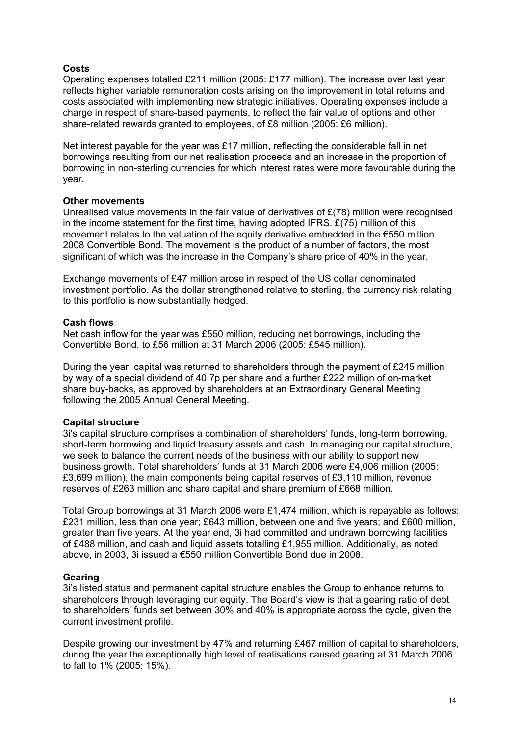#### **Costs**

Operating expenses totalled £211 million (2005: £177 million). The increase over last year reflects higher variable remuneration costs arising on the improvement in total returns and costs associated with implementing new strategic initiatives. Operating expenses include a charge in respect of share-based payments, to reflect the fair value of options and other share-related rewards granted to employees, of £8 million (2005: £6 million).

Net interest payable for the year was £17 million, reflecting the considerable fall in net borrowings resulting from our net realisation proceeds and an increase in the proportion of borrowing in non-sterling currencies for which interest rates were more favourable during the year.

#### **Other movements**

Unrealised value movements in the fair value of derivatives of  $E(78)$  million were recognised in the income statement for the first time, having adopted IFRS.  $E(75)$  million of this movement relates to the valuation of the equity derivative embedded in the €550 million 2008 Convertible Bond. The movement is the product of a number of factors, the most significant of which was the increase in the Company's share price of 40% in the year.

Exchange movements of £47 million arose in respect of the US dollar denominated investment portfolio. As the dollar strengthened relative to sterling, the currency risk relating to this portfolio is now substantially hedged.

#### **Cash flows**

Net cash inflow for the year was £550 million, reducing net borrowings, including the Convertible Bond, to £56 million at 31 March 2006 (2005: £545 million).

During the year, capital was returned to shareholders through the payment of £245 million by way of a special dividend of 40.7p per share and a further £222 million of on-market share buy-backs, as approved by shareholders at an Extraordinary General Meeting following the 2005 Annual General Meeting.

#### **Capital structure**

3i's capital structure comprises a combination of shareholders' funds, long-term borrowing, short-term borrowing and liquid treasury assets and cash. In managing our capital structure, we seek to balance the current needs of the business with our ability to support new business growth. Total shareholders' funds at 31 March 2006 were £4,006 million (2005: £3,699 million), the main components being capital reserves of £3,110 million, revenue reserves of £263 million and share capital and share premium of £668 million.

Total Group borrowings at 31 March 2006 were £1,474 million, which is repayable as follows: £231 million, less than one year; £643 million, between one and five years; and £600 million, greater than five years. At the year end, 3i had committed and undrawn borrowing facilities of £488 million, and cash and liquid assets totalling £1,955 million. Additionally, as noted above, in 2003, 3i issued a €550 million Convertible Bond due in 2008.

#### **Gearing**

3i's listed status and permanent capital structure enables the Group to enhance returns to shareholders through leveraging our equity. The Board's view is that a gearing ratio of debt to shareholders' funds set between 30% and 40% is appropriate across the cycle, given the current investment profile.

Despite growing our investment by 47% and returning £467 million of capital to shareholders, during the year the exceptionally high level of realisations caused gearing at 31 March 2006 to fall to 1% (2005: 15%).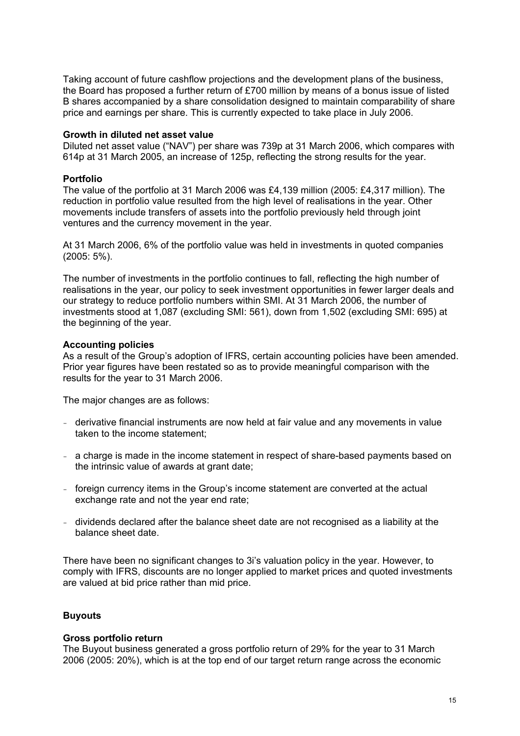Taking account of future cashflow projections and the development plans of the business, the Board has proposed a further return of £700 million by means of a bonus issue of listed B shares accompanied by a share consolidation designed to maintain comparability of share price and earnings per share. This is currently expected to take place in July 2006.

#### **Growth in diluted net asset value**

Diluted net asset value ("NAV") per share was 739p at 31 March 2006, which compares with 614p at 31 March 2005, an increase of 125p, reflecting the strong results for the year.

#### **Portfolio**

The value of the portfolio at 31 March 2006 was £4,139 million (2005: £4,317 million). The reduction in portfolio value resulted from the high level of realisations in the year. Other movements include transfers of assets into the portfolio previously held through joint ventures and the currency movement in the year.

At 31 March 2006, 6% of the portfolio value was held in investments in quoted companies (2005: 5%).

The number of investments in the portfolio continues to fall, reflecting the high number of realisations in the year, our policy to seek investment opportunities in fewer larger deals and our strategy to reduce portfolio numbers within SMI. At 31 March 2006, the number of investments stood at 1,087 (excluding SMI: 561), down from 1,502 (excluding SMI: 695) at the beginning of the year.

#### **Accounting policies**

As a result of the Group's adoption of IFRS, certain accounting policies have been amended. Prior year figures have been restated so as to provide meaningful comparison with the results for the year to 31 March 2006.

The major changes are as follows:

- derivative financial instruments are now held at fair value and any movements in value taken to the income statement;
- a charge is made in the income statement in respect of share-based payments based on the intrinsic value of awards at grant date;
- foreign currency items in the Group's income statement are converted at the actual exchange rate and not the year end rate;
- dividends declared after the balance sheet date are not recognised as a liability at the balance sheet date.

There have been no significant changes to 3i's valuation policy in the year. However, to comply with IFRS, discounts are no longer applied to market prices and quoted investments are valued at bid price rather than mid price.

#### **Buyouts**

#### **Gross portfolio return**

The Buyout business generated a gross portfolio return of 29% for the year to 31 March 2006 (2005: 20%), which is at the top end of our target return range across the economic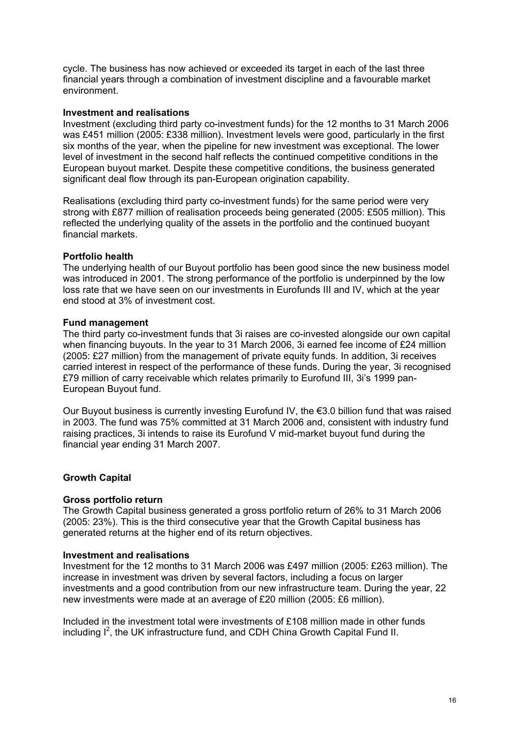cycle. The business has now achieved or exceeded its target in each of the last three financial years through a combination of investment discipline and a favourable market environment.

#### **Investment and realisations**

Investment (excluding third party co-investment funds) for the 12 months to 31 March 2006 was £451 million (2005: £338 million). Investment levels were good, particularly in the first six months of the year, when the pipeline for new investment was exceptional. The lower level of investment in the second half reflects the continued competitive conditions in the European buyout market. Despite these competitive conditions, the business generated significant deal flow through its pan-European origination capability.

Realisations (excluding third party co-investment funds) for the same period were very strong with £877 million of realisation proceeds being generated (2005: £505 million). This reflected the underlying quality of the assets in the portfolio and the continued buoyant financial markets.

#### **Portfolio health**

The underlying health of our Buyout portfolio has been good since the new business model was introduced in 2001. The strong performance of the portfolio is underpinned by the low loss rate that we have seen on our investments in Eurofunds III and IV, which at the year end stood at 3% of investment cost.

#### **Fund management**

The third party co-investment funds that 3i raises are co-invested alongside our own capital when financing buyouts. In the year to 31 March 2006, 3i earned fee income of £24 million (2005: £27 million) from the management of private equity funds. In addition, 3i receives carried interest in respect of the performance of these funds. During the year, 3i recognised £79 million of carry receivable which relates primarily to Eurofund III, 3i's 1999 pan-European Buyout fund.

Our Buyout business is currently investing Eurofund IV, the €3.0 billion fund that was raised in 2003. The fund was 75% committed at 31 March 2006 and, consistent with industry fund raising practices, 3i intends to raise its Eurofund V mid-market buyout fund during the financial year ending 31 March 2007.

#### **Growth Capital**

#### **Gross portfolio return**

The Growth Capital business generated a gross portfolio return of 26% to 31 March 2006 (2005: 23%). This is the third consecutive year that the Growth Capital business has generated returns at the higher end of its return objectives.

#### **Investment and realisations**

Investment for the 12 months to 31 March 2006 was £497 million (2005: £263 million). The increase in investment was driven by several factors, including a focus on larger investments and a good contribution from our new infrastructure team. During the year, 22 new investments were made at an average of £20 million (2005: £6 million).

Included in the investment total were investments of £108 million made in other funds including  $I^2$ , the UK infrastructure fund, and CDH China Growth Capital Fund II.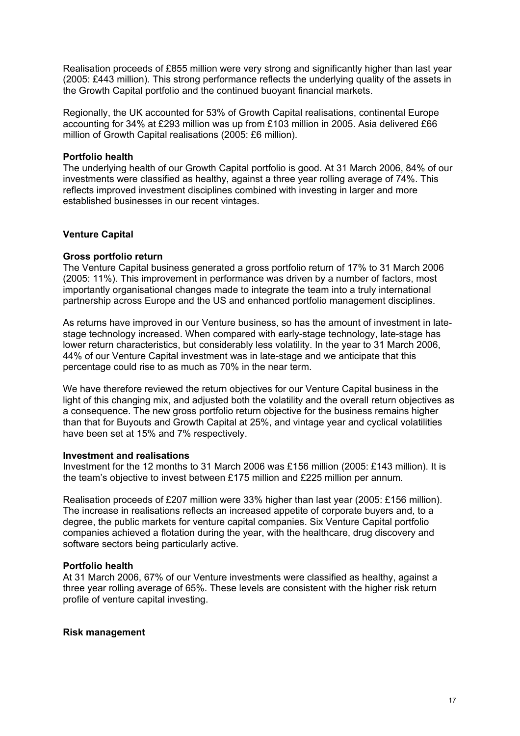Realisation proceeds of £855 million were very strong and significantly higher than last year (2005: £443 million). This strong performance reflects the underlying quality of the assets in the Growth Capital portfolio and the continued buoyant financial markets.

Regionally, the UK accounted for 53% of Growth Capital realisations, continental Europe accounting for 34% at £293 million was up from £103 million in 2005. Asia delivered £66 million of Growth Capital realisations (2005: £6 million).

#### **Portfolio health**

The underlying health of our Growth Capital portfolio is good. At 31 March 2006, 84% of our investments were classified as healthy, against a three year rolling average of 74%. This reflects improved investment disciplines combined with investing in larger and more established businesses in our recent vintages.

#### **Venture Capital**

#### **Gross portfolio return**

The Venture Capital business generated a gross portfolio return of 17% to 31 March 2006 (2005: 11%). This improvement in performance was driven by a number of factors, most importantly organisational changes made to integrate the team into a truly international partnership across Europe and the US and enhanced portfolio management disciplines.

As returns have improved in our Venture business, so has the amount of investment in latestage technology increased. When compared with early-stage technology, late-stage has lower return characteristics, but considerably less volatility. In the year to 31 March 2006, 44% of our Venture Capital investment was in late-stage and we anticipate that this percentage could rise to as much as 70% in the near term.

We have therefore reviewed the return objectives for our Venture Capital business in the light of this changing mix, and adjusted both the volatility and the overall return objectives as a consequence. The new gross portfolio return objective for the business remains higher than that for Buyouts and Growth Capital at 25%, and vintage year and cyclical volatilities have been set at 15% and 7% respectively.

#### **Investment and realisations**

Investment for the 12 months to 31 March 2006 was £156 million (2005: £143 million). It is the team's objective to invest between £175 million and £225 million per annum.

Realisation proceeds of £207 million were 33% higher than last year (2005: £156 million). The increase in realisations reflects an increased appetite of corporate buyers and, to a degree, the public markets for venture capital companies. Six Venture Capital portfolio companies achieved a flotation during the year, with the healthcare, drug discovery and software sectors being particularly active.

#### **Portfolio health**

At 31 March 2006, 67% of our Venture investments were classified as healthy, against a three year rolling average of 65%. These levels are consistent with the higher risk return profile of venture capital investing.

#### **Risk management**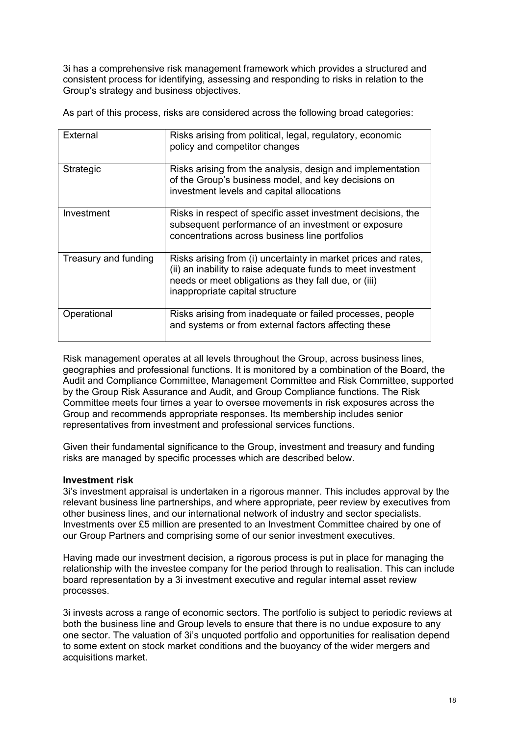3i has a comprehensive risk management framework which provides a structured and consistent process for identifying, assessing and responding to risks in relation to the Group's strategy and business objectives.

As part of this process, risks are considered across the following broad categories:

| External             | Risks arising from political, legal, regulatory, economic<br>policy and competitor changes                                                                                                                                |
|----------------------|---------------------------------------------------------------------------------------------------------------------------------------------------------------------------------------------------------------------------|
| <b>Strategic</b>     | Risks arising from the analysis, design and implementation<br>of the Group's business model, and key decisions on<br>investment levels and capital allocations                                                            |
| Investment           | Risks in respect of specific asset investment decisions, the<br>subsequent performance of an investment or exposure<br>concentrations across business line portfolios                                                     |
| Treasury and funding | Risks arising from (i) uncertainty in market prices and rates,<br>(ii) an inability to raise adequate funds to meet investment<br>needs or meet obligations as they fall due, or (iii)<br>inappropriate capital structure |
| Operational          | Risks arising from inadequate or failed processes, people<br>and systems or from external factors affecting these                                                                                                         |

Risk management operates at all levels throughout the Group, across business lines, geographies and professional functions. It is monitored by a combination of the Board, the Audit and Compliance Committee, Management Committee and Risk Committee, supported by the Group Risk Assurance and Audit, and Group Compliance functions. The Risk Committee meets four times a year to oversee movements in risk exposures across the Group and recommends appropriate responses. Its membership includes senior representatives from investment and professional services functions.

Given their fundamental significance to the Group, investment and treasury and funding risks are managed by specific processes which are described below.

#### **Investment risk**

3i's investment appraisal is undertaken in a rigorous manner. This includes approval by the relevant business line partnerships, and where appropriate, peer review by executives from other business lines, and our international network of industry and sector specialists. Investments over £5 million are presented to an Investment Committee chaired by one of our Group Partners and comprising some of our senior investment executives.

Having made our investment decision, a rigorous process is put in place for managing the relationship with the investee company for the period through to realisation. This can include board representation by a 3i investment executive and regular internal asset review processes.

3i invests across a range of economic sectors. The portfolio is subject to periodic reviews at both the business line and Group levels to ensure that there is no undue exposure to any one sector. The valuation of 3i's unquoted portfolio and opportunities for realisation depend to some extent on stock market conditions and the buoyancy of the wider mergers and acquisitions market.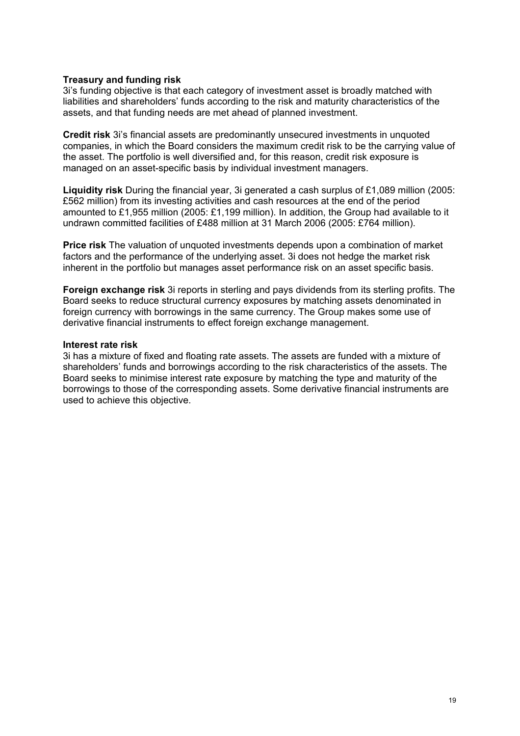#### **Treasury and funding risk**

3i's funding objective is that each category of investment asset is broadly matched with liabilities and shareholders' funds according to the risk and maturity characteristics of the assets, and that funding needs are met ahead of planned investment.

**Credit risk** 3i's financial assets are predominantly unsecured investments in unquoted companies, in which the Board considers the maximum credit risk to be the carrying value of the asset. The portfolio is well diversified and, for this reason, credit risk exposure is managed on an asset-specific basis by individual investment managers.

**Liquidity risk** During the financial year, 3i generated a cash surplus of £1,089 million (2005: £562 million) from its investing activities and cash resources at the end of the period amounted to £1,955 million (2005: £1,199 million). In addition, the Group had available to it undrawn committed facilities of £488 million at 31 March 2006 (2005: £764 million).

**Price risk** The valuation of unquoted investments depends upon a combination of market factors and the performance of the underlying asset. 3i does not hedge the market risk inherent in the portfolio but manages asset performance risk on an asset specific basis.

**Foreign exchange risk** 3i reports in sterling and pays dividends from its sterling profits. The Board seeks to reduce structural currency exposures by matching assets denominated in foreign currency with borrowings in the same currency. The Group makes some use of derivative financial instruments to effect foreign exchange management.

#### **Interest rate risk**

3i has a mixture of fixed and floating rate assets. The assets are funded with a mixture of shareholders' funds and borrowings according to the risk characteristics of the assets. The Board seeks to minimise interest rate exposure by matching the type and maturity of the borrowings to those of the corresponding assets. Some derivative financial instruments are used to achieve this objective.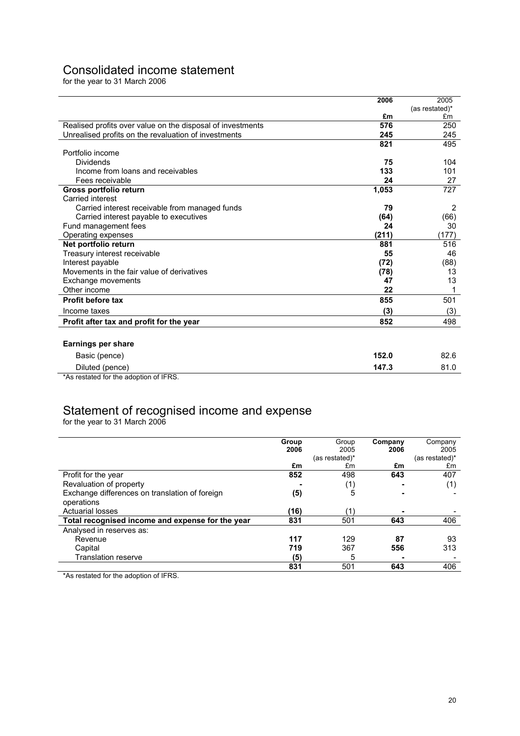## Consolidated income statement

for the year to 31 March 2006

|                                                            | 2006  | 2005           |
|------------------------------------------------------------|-------|----------------|
|                                                            |       | (as restated)* |
|                                                            | £m    | £m             |
| Realised profits over value on the disposal of investments | 576   | 250            |
| Unrealised profits on the revaluation of investments       | 245   | 245            |
|                                                            | 821   | 495            |
| Portfolio income                                           |       |                |
| Dividends                                                  | 75    | 104            |
| Income from loans and receivables                          | 133   | 101            |
| Fees receivable                                            | 24    | 27             |
| Gross portfolio return                                     | 1,053 | 727            |
| Carried interest                                           |       |                |
| Carried interest receivable from managed funds             | 79    | $\overline{2}$ |
| Carried interest payable to executives                     | (64)  | (66)           |
| Fund management fees                                       | 24    | 30             |
| Operating expenses                                         | (211) | (177)          |
| Net portfolio return                                       | 881   | 516            |
| Treasury interest receivable                               | 55    | 46             |
| Interest payable                                           | (72)  | (88)           |
| Movements in the fair value of derivatives                 | (78)  | 13             |
| Exchange movements                                         | 47    | 13             |
| Other income                                               | 22    |                |
| <b>Profit before tax</b>                                   | 855   | 501            |
| Income taxes                                               | (3)   | (3)            |
| Profit after tax and profit for the year                   | 852   | 498            |
|                                                            |       |                |
| Earnings per share                                         |       |                |
| Basic (pence)                                              | 152.0 | 82.6           |
| Diluted (pence)                                            | 147.3 | 81.0           |
| *As restated for the adoption of IFRS.                     |       |                |

### Statement of recognised income and expense

for the year to 31 March 2006

|                                                  | Group<br>2006 | Group<br>2005  | Company<br>2006 | Company<br>2005 |
|--------------------------------------------------|---------------|----------------|-----------------|-----------------|
|                                                  |               | (as restated)* |                 | (as restated)*  |
|                                                  | £m            | £m             | £m              | £m              |
| Profit for the year                              | 852           | 498            | 643             | 407             |
| Revaluation of property                          |               | (1)            |                 | (1)             |
| Exchange differences on translation of foreign   | (5)           | 5              |                 |                 |
| operations                                       |               |                |                 |                 |
| <b>Actuarial losses</b>                          | (16)          | '1)            |                 |                 |
| Total recognised income and expense for the year | 831           | 501            | 643             | 406             |
| Analysed in reserves as:                         |               |                |                 |                 |
| Revenue                                          | 117           | 129            | 87              | 93              |
| Capital                                          | 719           | 367            | 556             | 313             |
| <b>Translation reserve</b>                       | (5)           | 5              |                 |                 |
|                                                  | 831           | 501            | 643             | 406             |

\*As restated for the adoption of IFRS.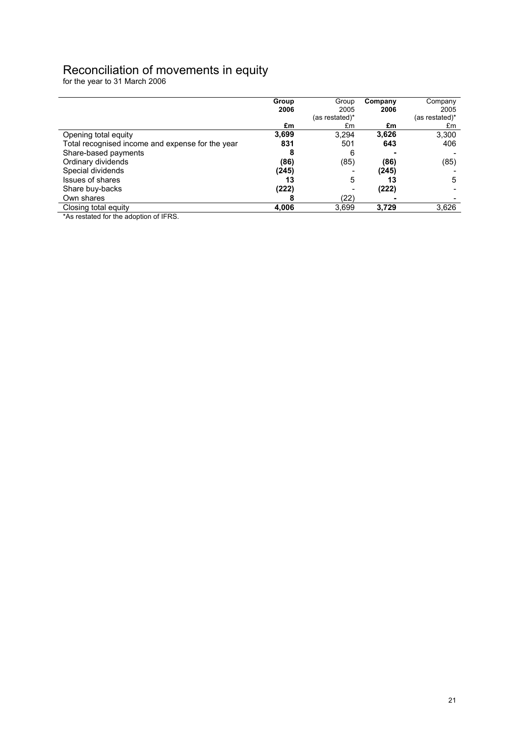## Reconciliation of movements in equity

for the year to 31 March 2006

|                                                  | Group | Group          | Company | Company        |
|--------------------------------------------------|-------|----------------|---------|----------------|
|                                                  | 2006  | 2005           | 2006    | 2005           |
|                                                  |       | (as restated)* |         | (as restated)* |
|                                                  | £m    | £m             | £m      | £m             |
| Opening total equity                             | 3,699 | 3,294          | 3,626   | 3,300          |
| Total recognised income and expense for the year | 831   | 501            | 643     | 406            |
| Share-based payments                             |       | 6              |         |                |
| Ordinary dividends                               | (86)  | (85)           | (86)    | (85)           |
| Special dividends                                | (245) |                | (245)   |                |
| <b>Issues of shares</b>                          | 13    | 5              | 13      | 5              |
| Share buy-backs                                  | (222) |                | (222)   |                |
| Own shares                                       | Õ     | (22)           |         |                |
| Closing total equity                             | 4,006 | 3,699          | 3,729   | 3,626          |

**Example 6.** The stated for the adoption of IFRS.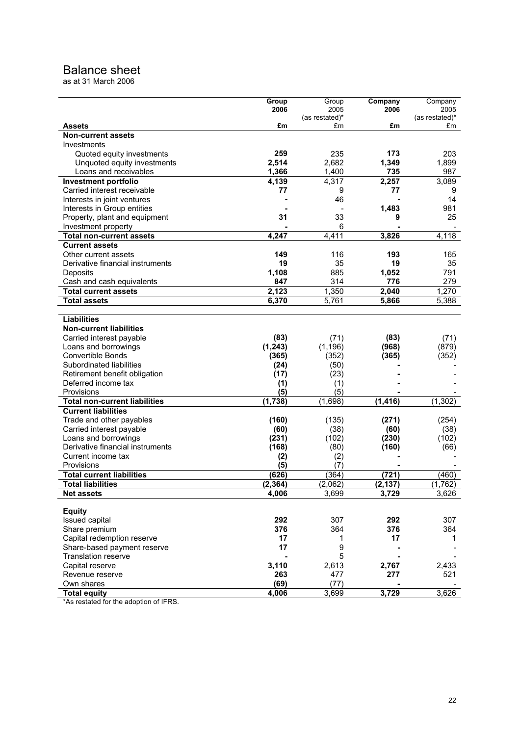## Balance sheet

as at 31 March 2006

|                                      | Group    | Group          | Company  | Company        |
|--------------------------------------|----------|----------------|----------|----------------|
|                                      | 2006     | 2005           | 2006     | 2005           |
|                                      |          | (as restated)* |          | (as restated)* |
| Assets                               | £m       | £m             | £m       | £m             |
| <b>Non-current assets</b>            |          |                |          |                |
| Investments                          |          |                |          |                |
| Quoted equity investments            | 259      | 235            | 173      | 203            |
| Unquoted equity investments          | 2,514    | 2,682          | 1,349    | 1,899          |
| Loans and receivables                | 1,366    | 1,400          | 735      | 987            |
| <b>Investment portfolio</b>          | 4,139    | 4,317          | 2,257    | 3,089          |
| Carried interest receivable          | 77       | 9              | 77       | 9              |
| Interests in joint ventures          |          | 46             |          | 14             |
| Interests in Group entities          |          |                | 1,483    | 981            |
| Property, plant and equipment        | 31       | 33             | 9        | 25             |
| Investment property                  |          | 6              |          |                |
| <b>Total non-current assets</b>      | 4,247    | 4,411          | 3,826    | 4,118          |
| <b>Current assets</b>                |          |                |          |                |
| Other current assets                 | 149      | 116            | 193      | 165            |
| Derivative financial instruments     | 19       | 35             | 19       | 35             |
| Deposits                             | 1,108    | 885            | 1,052    | 791            |
| Cash and cash equivalents            | 847      | 314            | 776      | 279            |
| <b>Total current assets</b>          | 2,123    | 1,350          | 2,040    | 1,270          |
| <b>Total assets</b>                  | 6,370    | 5,761          | 5,866    | 5,388          |
|                                      |          |                |          |                |
| <b>Liabilities</b>                   |          |                |          |                |
|                                      |          |                |          |                |
| <b>Non-current liabilities</b>       |          |                |          |                |
| Carried interest payable             | (83)     | (71)           | (83)     | (71)           |
| Loans and borrowings                 | (1, 243) | (1, 196)       | (968)    | (879)          |
| <b>Convertible Bonds</b>             | (365)    | (352)          | (365)    | (352)          |
| Subordinated liabilities             | (24)     | (50)           |          |                |
| Retirement benefit obligation        | (17)     | (23)           |          |                |
| Deferred income tax                  | (1)      | (1)            |          |                |
| Provisions                           | (5)      | (5)            |          |                |
| <b>Total non-current liabilities</b> | (1,738)  | (1,698)        | (1, 416) | (1, 302)       |
| <b>Current liabilities</b>           |          |                |          |                |
| Trade and other payables             | (160)    | (135)          | (271)    | (254)          |
| Carried interest payable             | (60)     | (38)           | (60)     | (38)           |
| Loans and borrowings                 | (231)    | (102)          | (230)    | (102)          |
| Derivative financial instruments     | (168)    | (80)           | (160)    | (66)           |
| Current income tax                   | (2)      | (2)            |          |                |
| Provisions                           | (5)      | (7)            |          |                |
| <b>Total current liabilities</b>     | (626)    | (364)          | (721)    | (460)          |
| <b>Total liabilities</b>             | (2.364)  | (2,062)        | (2.137)  | (1.762)        |
| <b>Net assets</b>                    | 4,006    | 3,699          | 3,729    | 3,626          |
|                                      |          |                |          |                |
| <b>Equity</b>                        |          |                |          |                |
| Issued capital                       | 292      | 307            | 292      | 307            |
| Share premium                        | 376      | 364            | 376      | 364            |
| Capital redemption reserve           | 17       | 1              | 17       | 1              |
| Share-based payment reserve          | 17       | 9              |          |                |
| <b>Translation reserve</b>           |          | 5              |          |                |
| Capital reserve                      | 3,110    | 2,613          | 2,767    | 2,433          |
| Revenue reserve                      | 263      | 477            | 277      | 521            |
| Own shares                           | (69)     | (77)           |          |                |
| <b>Total equity</b>                  | 4,006    | 3,699          | 3,729    | 3,626          |
|                                      |          |                |          |                |

\*As restated for the adoption of IFRS.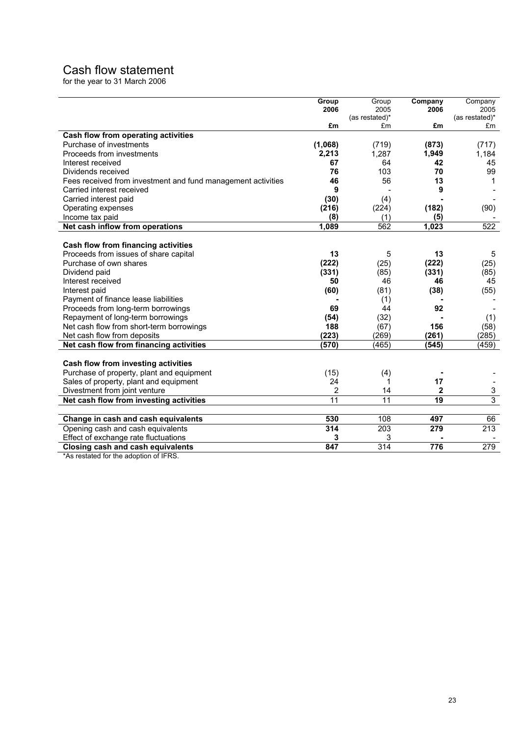# Cash flow statement

for the year to 31 March 2006

|                                                              | Group   | Group            | Company         | Company          |
|--------------------------------------------------------------|---------|------------------|-----------------|------------------|
|                                                              | 2006    | 2005             | 2006            | 2005             |
|                                                              |         | (as restated)*   |                 | (as restated)*   |
|                                                              | £m      | £m               | £m              | £m               |
| <b>Cash flow from operating activities</b>                   |         |                  |                 |                  |
| Purchase of investments                                      | (1,068) | (719)            | (873)           | (717)            |
| Proceeds from investments                                    | 2,213   | 1,287            | 1.949           | 1,184            |
| Interest received                                            | 67      | 64               | 42              | 45               |
| Dividends received                                           | 76      | 103              | 70              | 99               |
| Fees received from investment and fund management activities | 46      | 56               | 13              | 1                |
| Carried interest received                                    | 9       |                  | 9               |                  |
| Carried interest paid                                        | (30)    | (4)              |                 |                  |
| Operating expenses                                           | (216)   | (224)            | (182)           | (90)             |
| Income tax paid                                              | (8)     | (1)              | (5)             |                  |
| Net cash inflow from operations                              | 1,089   | 562              | 1,023           | $\overline{522}$ |
|                                                              |         |                  |                 |                  |
| Cash flow from financing activities                          |         |                  |                 |                  |
| Proceeds from issues of share capital                        | 13      | 5                | 13              | 5                |
| Purchase of own shares                                       | (222)   | (25)             | (222)           | (25)             |
| Dividend paid                                                | (331)   | (85)             | (331)           | (85)             |
| Interest received                                            | 50      | 46               | 46              | 45               |
| Interest paid                                                | (60)    | (81)             | (38)            | (55)             |
| Payment of finance lease liabilities                         |         | (1)              |                 |                  |
| Proceeds from long-term borrowings                           | 69      | 44               | 92              |                  |
| Repayment of long-term borrowings                            | (54)    | (32)             |                 | (1)              |
| Net cash flow from short-term borrowings                     | 188     | (67)             | 156             | (58)             |
| Net cash flow from deposits                                  | (223)   | (269)            | (261)           | (285)            |
| Net cash flow from financing activities                      | (570)   | (465)            | (545)           | (459)            |
|                                                              |         |                  |                 |                  |
| Cash flow from investing activities                          |         |                  |                 |                  |
| Purchase of property, plant and equipment                    | (15)    | (4)              |                 |                  |
| Sales of property, plant and equipment                       | 24      | 1                | 17              |                  |
| Divestment from joint venture                                | 2       | 14               | $\mathbf{2}$    | 3                |
| Net cash flow from investing activities                      | 11      | 11               | $\overline{19}$ | 3                |
|                                                              |         |                  |                 |                  |
| Change in cash and cash equivalents                          | 530     | 108              | 497             | 66               |
| Opening cash and cash equivalents                            | 314     | 203              | 279             | 213              |
| Effect of exchange rate fluctuations                         | 3       | 3                |                 |                  |
| <b>Closing cash and cash equivalents</b>                     | 847     | $\overline{314}$ | 776             | $\overline{279}$ |

\*As restated for the adoption of IFRS.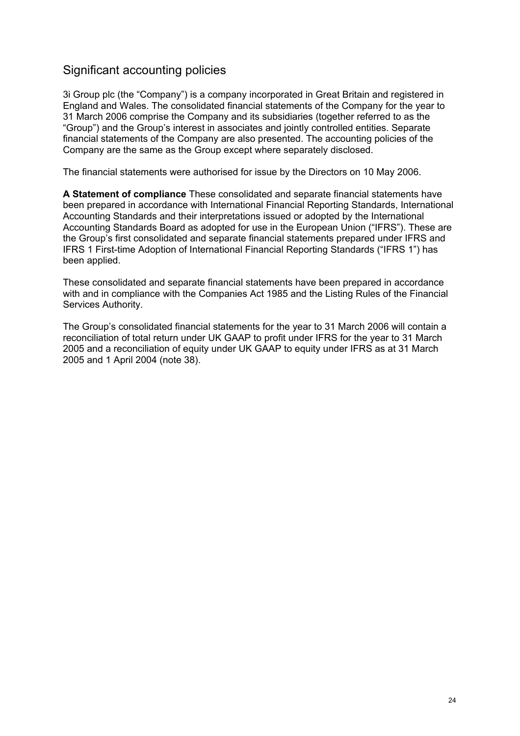## Significant accounting policies

3i Group plc (the "Company") is a company incorporated in Great Britain and registered in England and Wales. The consolidated financial statements of the Company for the year to 31 March 2006 comprise the Company and its subsidiaries (together referred to as the "Group") and the Group's interest in associates and jointly controlled entities. Separate financial statements of the Company are also presented. The accounting policies of the Company are the same as the Group except where separately disclosed.

The financial statements were authorised for issue by the Directors on 10 May 2006.

**A Statement of compliance** These consolidated and separate financial statements have been prepared in accordance with International Financial Reporting Standards, International Accounting Standards and their interpretations issued or adopted by the International Accounting Standards Board as adopted for use in the European Union ("IFRS"). These are the Group's first consolidated and separate financial statements prepared under IFRS and IFRS 1 First-time Adoption of International Financial Reporting Standards ("IFRS 1") has been applied.

These consolidated and separate financial statements have been prepared in accordance with and in compliance with the Companies Act 1985 and the Listing Rules of the Financial Services Authority.

The Group's consolidated financial statements for the year to 31 March 2006 will contain a reconciliation of total return under UK GAAP to profit under IFRS for the year to 31 March 2005 and a reconciliation of equity under UK GAAP to equity under IFRS as at 31 March 2005 and 1 April 2004 (note 38).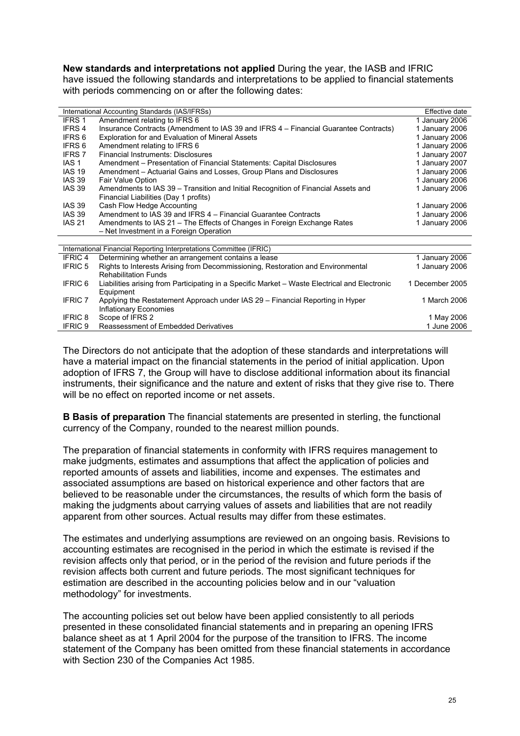**New standards and interpretations not applied** During the year, the IASB and IFRIC have issued the following standards and interpretations to be applied to financial statements with periods commencing on or after the following dates:

|                | International Accounting Standards (IAS/IFRSs)                                                | Effective date  |
|----------------|-----------------------------------------------------------------------------------------------|-----------------|
| IFRS 1         | Amendment relating to IFRS 6                                                                  | 1 January 2006  |
| IFRS 4         | Insurance Contracts (Amendment to IAS 39 and IFRS 4 – Financial Guarantee Contracts)          | 1 January 2006  |
| IFRS 6         | <b>Exploration for and Evaluation of Mineral Assets</b>                                       | 1 January 2006  |
| IFRS 6         | Amendment relating to IFRS 6                                                                  | 1 January 2006  |
| <b>IFRS 7</b>  | <b>Financial Instruments: Disclosures</b>                                                     | 1 January 2007  |
| IAS 1          | Amendment – Presentation of Financial Statements: Capital Disclosures                         | 1 January 2007  |
| <b>IAS 19</b>  | Amendment – Actuarial Gains and Losses, Group Plans and Disclosures                           | 1 January 2006  |
| <b>IAS 39</b>  | Fair Value Option                                                                             | 1 January 2006  |
| <b>IAS 39</b>  | Amendments to IAS 39 - Transition and Initial Recognition of Financial Assets and             | 1 January 2006  |
|                | Financial Liabilities (Day 1 profits)                                                         |                 |
| <b>IAS 39</b>  | Cash Flow Hedge Accounting                                                                    | 1 January 2006  |
| <b>IAS 39</b>  | Amendment to IAS 39 and IFRS 4 - Financial Guarantee Contracts                                | 1 January 2006  |
| <b>IAS 21</b>  | Amendments to IAS 21 – The Effects of Changes in Foreign Exchange Rates                       | 1 January 2006  |
|                | - Net Investment in a Foreign Operation                                                       |                 |
|                |                                                                                               |                 |
|                | International Financial Reporting Interpretations Committee (IFRIC)                           |                 |
| <b>IFRIC4</b>  | Determining whether an arrangement contains a lease                                           | 1 January 2006  |
| <b>IFRIC 5</b> | Rights to Interests Arising from Decommissioning, Restoration and Environmental               | 1 January 2006  |
|                | <b>Rehabilitation Funds</b>                                                                   |                 |
| <b>IFRIC 6</b> | Liabilities arising from Participating in a Specific Market – Waste Electrical and Electronic | 1 December 2005 |
|                | Equipment                                                                                     |                 |
| <b>IFRIC 7</b> | Applying the Restatement Approach under IAS 29 – Financial Reporting in Hyper                 | 1 March 2006    |
|                | Inflationary Economies                                                                        |                 |
| <b>IFRIC 8</b> | Scope of IFRS 2                                                                               | 1 May 2006      |
| <b>IFRIC 9</b> | Reassessment of Embedded Derivatives                                                          | 1 June 2006     |

The Directors do not anticipate that the adoption of these standards and interpretations will have a material impact on the financial statements in the period of initial application. Upon adoption of IFRS 7, the Group will have to disclose additional information about its financial instruments, their significance and the nature and extent of risks that they give rise to. There will be no effect on reported income or net assets.

**B Basis of preparation** The financial statements are presented in sterling, the functional currency of the Company, rounded to the nearest million pounds.

The preparation of financial statements in conformity with IFRS requires management to make judgments, estimates and assumptions that affect the application of policies and reported amounts of assets and liabilities, income and expenses. The estimates and associated assumptions are based on historical experience and other factors that are believed to be reasonable under the circumstances, the results of which form the basis of making the judgments about carrying values of assets and liabilities that are not readily apparent from other sources. Actual results may differ from these estimates.

The estimates and underlying assumptions are reviewed on an ongoing basis. Revisions to accounting estimates are recognised in the period in which the estimate is revised if the revision affects only that period, or in the period of the revision and future periods if the revision affects both current and future periods. The most significant techniques for estimation are described in the accounting policies below and in our "valuation methodology" for investments.

The accounting policies set out below have been applied consistently to all periods presented in these consolidated financial statements and in preparing an opening IFRS balance sheet as at 1 April 2004 for the purpose of the transition to IFRS. The income statement of the Company has been omitted from these financial statements in accordance with Section 230 of the Companies Act 1985.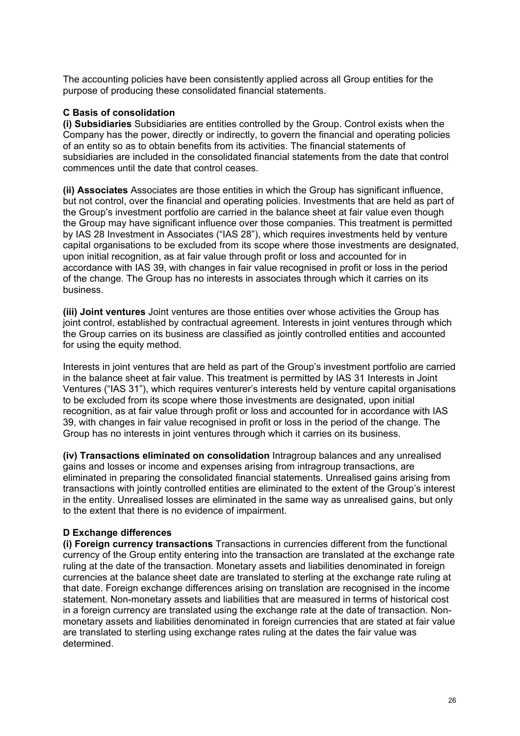The accounting policies have been consistently applied across all Group entities for the purpose of producing these consolidated financial statements.

#### **C Basis of consolidation**

**(i) Subsidiaries** Subsidiaries are entities controlled by the Group. Control exists when the Company has the power, directly or indirectly, to govern the financial and operating policies of an entity so as to obtain benefits from its activities. The financial statements of subsidiaries are included in the consolidated financial statements from the date that control commences until the date that control ceases.

**(ii) Associates** Associates are those entities in which the Group has significant influence, but not control, over the financial and operating policies. Investments that are held as part of the Group's investment portfolio are carried in the balance sheet at fair value even though the Group may have significant influence over those companies. This treatment is permitted by IAS 28 Investment in Associates ("IAS 28"), which requires investments held by venture capital organisations to be excluded from its scope where those investments are designated, upon initial recognition, as at fair value through profit or loss and accounted for in accordance with IAS 39, with changes in fair value recognised in profit or loss in the period of the change. The Group has no interests in associates through which it carries on its business.

**(iii) Joint ventures** Joint ventures are those entities over whose activities the Group has joint control, established by contractual agreement. Interests in joint ventures through which the Group carries on its business are classified as jointly controlled entities and accounted for using the equity method.

Interests in joint ventures that are held as part of the Group's investment portfolio are carried in the balance sheet at fair value. This treatment is permitted by IAS 31 Interests in Joint Ventures ("IAS 31"), which requires venturer's interests held by venture capital organisations to be excluded from its scope where those investments are designated, upon initial recognition, as at fair value through profit or loss and accounted for in accordance with IAS 39, with changes in fair value recognised in profit or loss in the period of the change. The Group has no interests in joint ventures through which it carries on its business.

**(iv) Transactions eliminated on consolidation** Intragroup balances and any unrealised gains and losses or income and expenses arising from intragroup transactions, are eliminated in preparing the consolidated financial statements. Unrealised gains arising from transactions with jointly controlled entities are eliminated to the extent of the Group's interest in the entity. Unrealised losses are eliminated in the same way as unrealised gains, but only to the extent that there is no evidence of impairment.

#### **D Exchange differences**

**(i) Foreign currency transactions** Transactions in currencies different from the functional currency of the Group entity entering into the transaction are translated at the exchange rate ruling at the date of the transaction. Monetary assets and liabilities denominated in foreign currencies at the balance sheet date are translated to sterling at the exchange rate ruling at that date. Foreign exchange differences arising on translation are recognised in the income statement. Non-monetary assets and liabilities that are measured in terms of historical cost in a foreign currency are translated using the exchange rate at the date of transaction. Nonmonetary assets and liabilities denominated in foreign currencies that are stated at fair value are translated to sterling using exchange rates ruling at the dates the fair value was determined.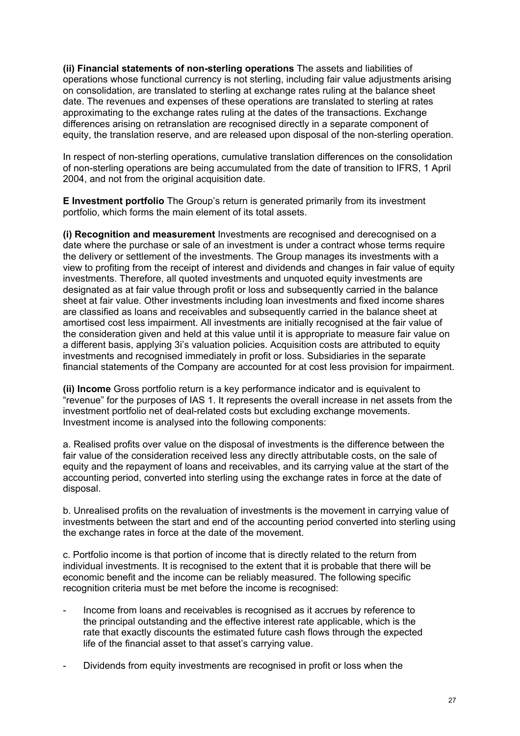**(ii) Financial statements of non-sterling operations** The assets and liabilities of operations whose functional currency is not sterling, including fair value adjustments arising on consolidation, are translated to sterling at exchange rates ruling at the balance sheet date. The revenues and expenses of these operations are translated to sterling at rates approximating to the exchange rates ruling at the dates of the transactions. Exchange differences arising on retranslation are recognised directly in a separate component of equity, the translation reserve, and are released upon disposal of the non-sterling operation.

In respect of non-sterling operations, cumulative translation differences on the consolidation of non-sterling operations are being accumulated from the date of transition to IFRS, 1 April 2004, and not from the original acquisition date.

**E Investment portfolio** The Group's return is generated primarily from its investment portfolio, which forms the main element of its total assets.

**(i) Recognition and measurement** Investments are recognised and derecognised on a date where the purchase or sale of an investment is under a contract whose terms require the delivery or settlement of the investments. The Group manages its investments with a view to profiting from the receipt of interest and dividends and changes in fair value of equity investments. Therefore, all quoted investments and unquoted equity investments are designated as at fair value through profit or loss and subsequently carried in the balance sheet at fair value. Other investments including loan investments and fixed income shares are classified as loans and receivables and subsequently carried in the balance sheet at amortised cost less impairment. All investments are initially recognised at the fair value of the consideration given and held at this value until it is appropriate to measure fair value on a different basis, applying 3i's valuation policies. Acquisition costs are attributed to equity investments and recognised immediately in profit or loss. Subsidiaries in the separate financial statements of the Company are accounted for at cost less provision for impairment.

**(ii) Income** Gross portfolio return is a key performance indicator and is equivalent to "revenue" for the purposes of IAS 1. It represents the overall increase in net assets from the investment portfolio net of deal-related costs but excluding exchange movements. Investment income is analysed into the following components:

a. Realised profits over value on the disposal of investments is the difference between the fair value of the consideration received less any directly attributable costs, on the sale of equity and the repayment of loans and receivables, and its carrying value at the start of the accounting period, converted into sterling using the exchange rates in force at the date of disposal.

b. Unrealised profits on the revaluation of investments is the movement in carrying value of investments between the start and end of the accounting period converted into sterling using the exchange rates in force at the date of the movement.

c. Portfolio income is that portion of income that is directly related to the return from individual investments. It is recognised to the extent that it is probable that there will be economic benefit and the income can be reliably measured. The following specific recognition criteria must be met before the income is recognised:

- Income from loans and receivables is recognised as it accrues by reference to the principal outstanding and the effective interest rate applicable, which is the rate that exactly discounts the estimated future cash flows through the expected life of the financial asset to that asset's carrying value.
- Dividends from equity investments are recognised in profit or loss when the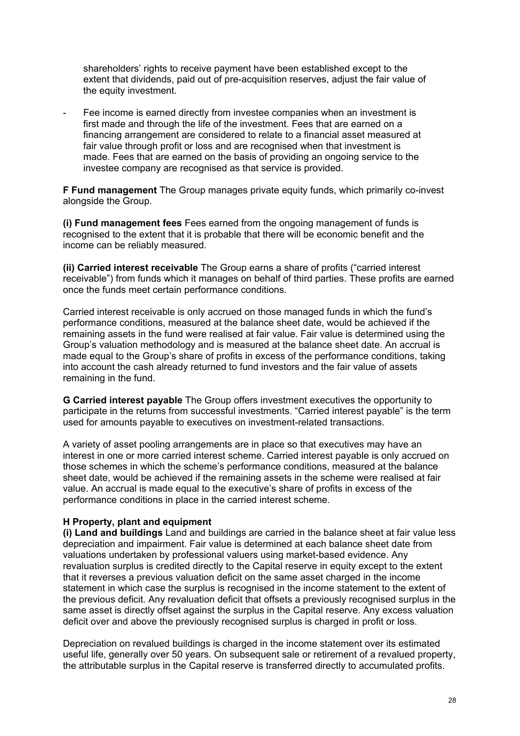shareholders' rights to receive payment have been established except to the extent that dividends, paid out of pre-acquisition reserves, adjust the fair value of the equity investment.

- Fee income is earned directly from investee companies when an investment is first made and through the life of the investment. Fees that are earned on a financing arrangement are considered to relate to a financial asset measured at fair value through profit or loss and are recognised when that investment is made. Fees that are earned on the basis of providing an ongoing service to the investee company are recognised as that service is provided.

**F Fund management** The Group manages private equity funds, which primarily co-invest alongside the Group.

**(i) Fund management fees** Fees earned from the ongoing management of funds is recognised to the extent that it is probable that there will be economic benefit and the income can be reliably measured.

**(ii) Carried interest receivable** The Group earns a share of profits ("carried interest receivable") from funds which it manages on behalf of third parties. These profits are earned once the funds meet certain performance conditions.

Carried interest receivable is only accrued on those managed funds in which the fund's performance conditions, measured at the balance sheet date, would be achieved if the remaining assets in the fund were realised at fair value. Fair value is determined using the Group's valuation methodology and is measured at the balance sheet date. An accrual is made equal to the Group's share of profits in excess of the performance conditions, taking into account the cash already returned to fund investors and the fair value of assets remaining in the fund.

**G Carried interest payable** The Group offers investment executives the opportunity to participate in the returns from successful investments. "Carried interest payable" is the term used for amounts payable to executives on investment-related transactions.

A variety of asset pooling arrangements are in place so that executives may have an interest in one or more carried interest scheme. Carried interest payable is only accrued on those schemes in which the scheme's performance conditions, measured at the balance sheet date, would be achieved if the remaining assets in the scheme were realised at fair value. An accrual is made equal to the executive's share of profits in excess of the performance conditions in place in the carried interest scheme.

#### **H Property, plant and equipment**

**(i) Land and buildings** Land and buildings are carried in the balance sheet at fair value less depreciation and impairment. Fair value is determined at each balance sheet date from valuations undertaken by professional valuers using market-based evidence. Any revaluation surplus is credited directly to the Capital reserve in equity except to the extent that it reverses a previous valuation deficit on the same asset charged in the income statement in which case the surplus is recognised in the income statement to the extent of the previous deficit. Any revaluation deficit that offsets a previously recognised surplus in the same asset is directly offset against the surplus in the Capital reserve. Any excess valuation deficit over and above the previously recognised surplus is charged in profit or loss.

Depreciation on revalued buildings is charged in the income statement over its estimated useful life, generally over 50 years. On subsequent sale or retirement of a revalued property, the attributable surplus in the Capital reserve is transferred directly to accumulated profits.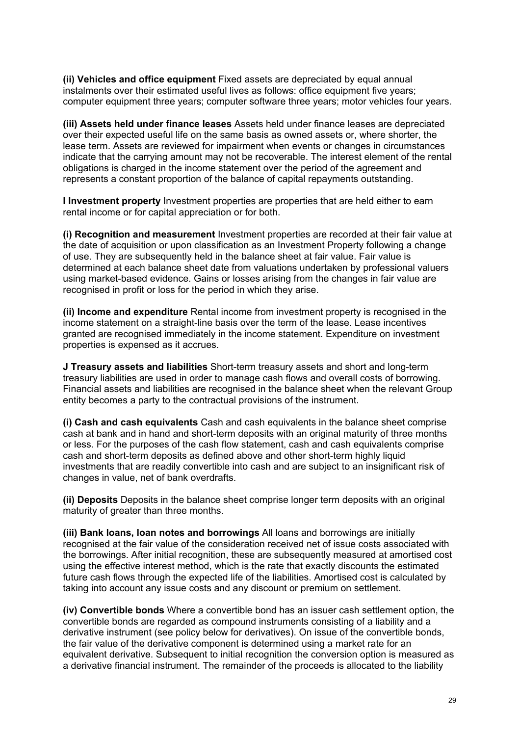**(ii) Vehicles and office equipment** Fixed assets are depreciated by equal annual instalments over their estimated useful lives as follows: office equipment five years; computer equipment three years; computer software three years; motor vehicles four years.

**(iii) Assets held under finance leases** Assets held under finance leases are depreciated over their expected useful life on the same basis as owned assets or, where shorter, the lease term. Assets are reviewed for impairment when events or changes in circumstances indicate that the carrying amount may not be recoverable. The interest element of the rental obligations is charged in the income statement over the period of the agreement and represents a constant proportion of the balance of capital repayments outstanding.

**I Investment property** Investment properties are properties that are held either to earn rental income or for capital appreciation or for both.

**(i) Recognition and measurement** Investment properties are recorded at their fair value at the date of acquisition or upon classification as an Investment Property following a change of use. They are subsequently held in the balance sheet at fair value. Fair value is determined at each balance sheet date from valuations undertaken by professional valuers using market-based evidence. Gains or losses arising from the changes in fair value are recognised in profit or loss for the period in which they arise.

**(ii) Income and expenditure** Rental income from investment property is recognised in the income statement on a straight-line basis over the term of the lease. Lease incentives granted are recognised immediately in the income statement. Expenditure on investment properties is expensed as it accrues.

**J Treasury assets and liabilities** Short-term treasury assets and short and long-term treasury liabilities are used in order to manage cash flows and overall costs of borrowing. Financial assets and liabilities are recognised in the balance sheet when the relevant Group entity becomes a party to the contractual provisions of the instrument.

**(i) Cash and cash equivalents** Cash and cash equivalents in the balance sheet comprise cash at bank and in hand and short-term deposits with an original maturity of three months or less. For the purposes of the cash flow statement, cash and cash equivalents comprise cash and short-term deposits as defined above and other short-term highly liquid investments that are readily convertible into cash and are subject to an insignificant risk of changes in value, net of bank overdrafts.

**(ii) Deposits** Deposits in the balance sheet comprise longer term deposits with an original maturity of greater than three months.

**(iii) Bank loans, loan notes and borrowings** All loans and borrowings are initially recognised at the fair value of the consideration received net of issue costs associated with the borrowings. After initial recognition, these are subsequently measured at amortised cost using the effective interest method, which is the rate that exactly discounts the estimated future cash flows through the expected life of the liabilities. Amortised cost is calculated by taking into account any issue costs and any discount or premium on settlement.

**(iv) Convertible bonds** Where a convertible bond has an issuer cash settlement option, the convertible bonds are regarded as compound instruments consisting of a liability and a derivative instrument (see policy below for derivatives). On issue of the convertible bonds, the fair value of the derivative component is determined using a market rate for an equivalent derivative. Subsequent to initial recognition the conversion option is measured as a derivative financial instrument. The remainder of the proceeds is allocated to the liability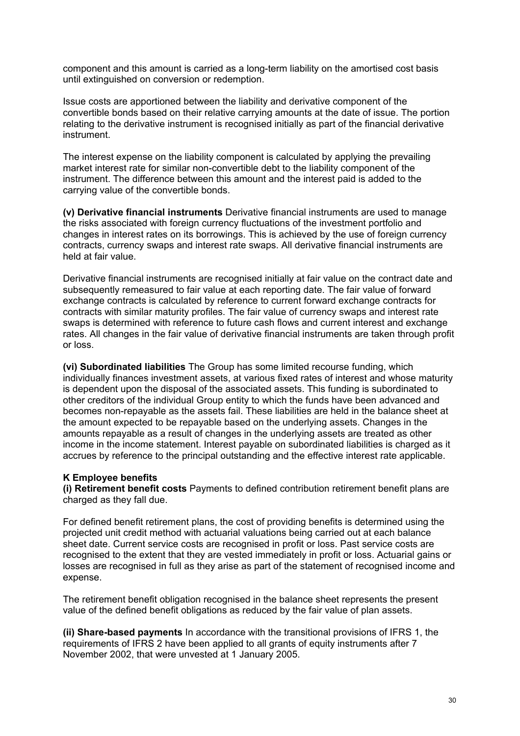component and this amount is carried as a long-term liability on the amortised cost basis until extinguished on conversion or redemption.

Issue costs are apportioned between the liability and derivative component of the convertible bonds based on their relative carrying amounts at the date of issue. The portion relating to the derivative instrument is recognised initially as part of the financial derivative instrument.

The interest expense on the liability component is calculated by applying the prevailing market interest rate for similar non-convertible debt to the liability component of the instrument. The difference between this amount and the interest paid is added to the carrying value of the convertible bonds.

**(v) Derivative financial instruments** Derivative financial instruments are used to manage the risks associated with foreign currency fluctuations of the investment portfolio and changes in interest rates on its borrowings. This is achieved by the use of foreign currency contracts, currency swaps and interest rate swaps. All derivative financial instruments are held at fair value.

Derivative financial instruments are recognised initially at fair value on the contract date and subsequently remeasured to fair value at each reporting date. The fair value of forward exchange contracts is calculated by reference to current forward exchange contracts for contracts with similar maturity profiles. The fair value of currency swaps and interest rate swaps is determined with reference to future cash flows and current interest and exchange rates. All changes in the fair value of derivative financial instruments are taken through profit or loss.

**(vi) Subordinated liabilities** The Group has some limited recourse funding, which individually finances investment assets, at various fixed rates of interest and whose maturity is dependent upon the disposal of the associated assets. This funding is subordinated to other creditors of the individual Group entity to which the funds have been advanced and becomes non-repayable as the assets fail. These liabilities are held in the balance sheet at the amount expected to be repayable based on the underlying assets. Changes in the amounts repayable as a result of changes in the underlying assets are treated as other income in the income statement. Interest payable on subordinated liabilities is charged as it accrues by reference to the principal outstanding and the effective interest rate applicable.

#### **K Employee benefits**

**(i) Retirement benefit costs** Payments to defined contribution retirement benefit plans are charged as they fall due.

For defined benefit retirement plans, the cost of providing benefits is determined using the projected unit credit method with actuarial valuations being carried out at each balance sheet date. Current service costs are recognised in profit or loss. Past service costs are recognised to the extent that they are vested immediately in profit or loss. Actuarial gains or losses are recognised in full as they arise as part of the statement of recognised income and expense.

The retirement benefit obligation recognised in the balance sheet represents the present value of the defined benefit obligations as reduced by the fair value of plan assets.

**(ii) Share-based payments** In accordance with the transitional provisions of IFRS 1, the requirements of IFRS 2 have been applied to all grants of equity instruments after 7 November 2002, that were unvested at 1 January 2005.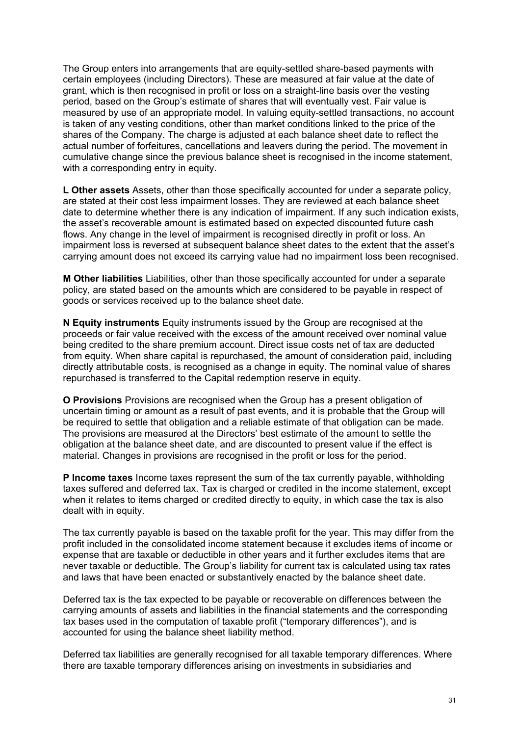The Group enters into arrangements that are equity-settled share-based payments with certain employees (including Directors). These are measured at fair value at the date of grant, which is then recognised in profit or loss on a straight-line basis over the vesting period, based on the Group's estimate of shares that will eventually vest. Fair value is measured by use of an appropriate model. In valuing equity-settled transactions, no account is taken of any vesting conditions, other than market conditions linked to the price of the shares of the Company. The charge is adjusted at each balance sheet date to reflect the actual number of forfeitures, cancellations and leavers during the period. The movement in cumulative change since the previous balance sheet is recognised in the income statement, with a corresponding entry in equity.

**L Other assets** Assets, other than those specifically accounted for under a separate policy, are stated at their cost less impairment losses. They are reviewed at each balance sheet date to determine whether there is any indication of impairment. If any such indication exists, the asset's recoverable amount is estimated based on expected discounted future cash flows. Any change in the level of impairment is recognised directly in profit or loss. An impairment loss is reversed at subsequent balance sheet dates to the extent that the asset's carrying amount does not exceed its carrying value had no impairment loss been recognised.

**M Other liabilities** Liabilities, other than those specifically accounted for under a separate policy, are stated based on the amounts which are considered to be payable in respect of goods or services received up to the balance sheet date.

**N Equity instruments** Equity instruments issued by the Group are recognised at the proceeds or fair value received with the excess of the amount received over nominal value being credited to the share premium account. Direct issue costs net of tax are deducted from equity. When share capital is repurchased, the amount of consideration paid, including directly attributable costs, is recognised as a change in equity. The nominal value of shares repurchased is transferred to the Capital redemption reserve in equity.

**O Provisions** Provisions are recognised when the Group has a present obligation of uncertain timing or amount as a result of past events, and it is probable that the Group will be required to settle that obligation and a reliable estimate of that obligation can be made. The provisions are measured at the Directors' best estimate of the amount to settle the obligation at the balance sheet date, and are discounted to present value if the effect is material. Changes in provisions are recognised in the profit or loss for the period.

**P Income taxes** Income taxes represent the sum of the tax currently payable, withholding taxes suffered and deferred tax. Tax is charged or credited in the income statement, except when it relates to items charged or credited directly to equity, in which case the tax is also dealt with in equity.

The tax currently payable is based on the taxable profit for the year. This may differ from the profit included in the consolidated income statement because it excludes items of income or expense that are taxable or deductible in other years and it further excludes items that are never taxable or deductible. The Group's liability for current tax is calculated using tax rates and laws that have been enacted or substantively enacted by the balance sheet date.

Deferred tax is the tax expected to be payable or recoverable on differences between the carrying amounts of assets and liabilities in the financial statements and the corresponding tax bases used in the computation of taxable profit ("temporary differences"), and is accounted for using the balance sheet liability method.

Deferred tax liabilities are generally recognised for all taxable temporary differences. Where there are taxable temporary differences arising on investments in subsidiaries and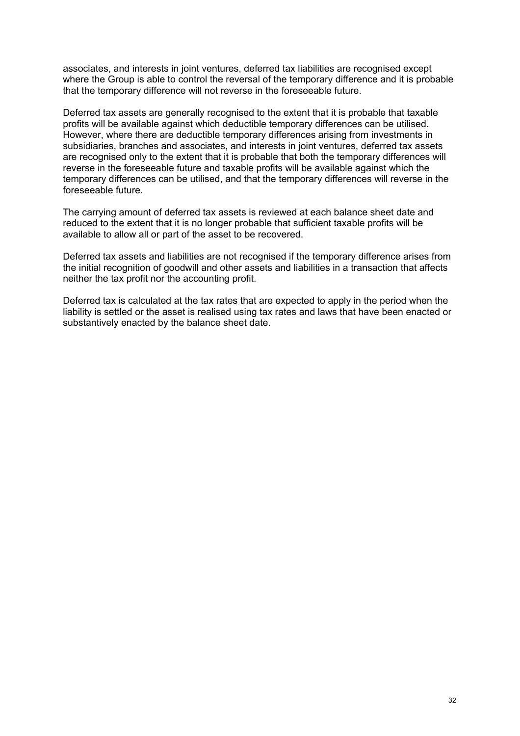associates, and interests in joint ventures, deferred tax liabilities are recognised except where the Group is able to control the reversal of the temporary difference and it is probable that the temporary difference will not reverse in the foreseeable future.

Deferred tax assets are generally recognised to the extent that it is probable that taxable profits will be available against which deductible temporary differences can be utilised. However, where there are deductible temporary differences arising from investments in subsidiaries, branches and associates, and interests in joint ventures, deferred tax assets are recognised only to the extent that it is probable that both the temporary differences will reverse in the foreseeable future and taxable profits will be available against which the temporary differences can be utilised, and that the temporary differences will reverse in the foreseeable future.

The carrying amount of deferred tax assets is reviewed at each balance sheet date and reduced to the extent that it is no longer probable that sufficient taxable profits will be available to allow all or part of the asset to be recovered.

Deferred tax assets and liabilities are not recognised if the temporary difference arises from the initial recognition of goodwill and other assets and liabilities in a transaction that affects neither the tax profit nor the accounting profit.

Deferred tax is calculated at the tax rates that are expected to apply in the period when the liability is settled or the asset is realised using tax rates and laws that have been enacted or substantively enacted by the balance sheet date.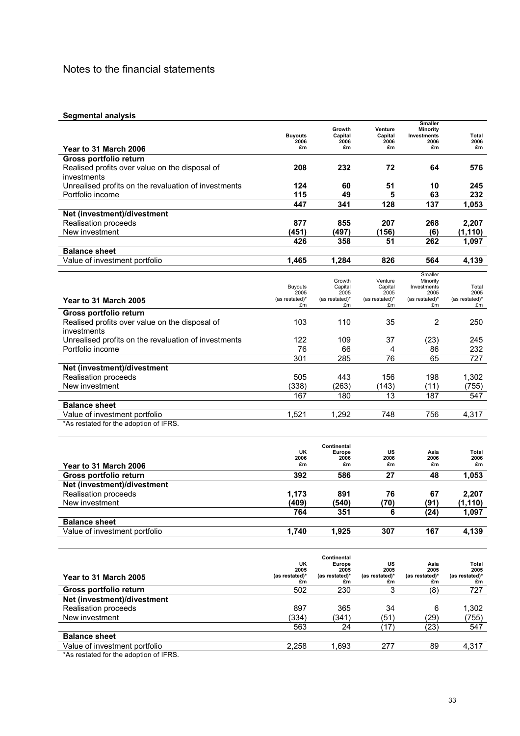#### **Segmental analysis**

|                                                      |                        | Growth                | Venture              | <b>Smaller</b><br>Minority |                      |
|------------------------------------------------------|------------------------|-----------------------|----------------------|----------------------------|----------------------|
|                                                      | <b>Buyouts</b>         | Capital               | Capital              | Investments                | Total                |
| Year to 31 March 2006                                | 2006<br>£m             | 2006<br>£m            | 2006<br>£m           | 2006<br>£m                 | 2006<br>£m           |
| Gross portfolio return                               |                        |                       |                      |                            |                      |
| Realised profits over value on the disposal of       | 208                    | 232                   | 72                   | 64                         | 576                  |
| investments                                          |                        |                       |                      |                            |                      |
| Unrealised profits on the revaluation of investments | 124                    | 60                    | 51                   | 10                         | 245                  |
| Portfolio income                                     | 115                    | 49                    | 5                    | 63                         | 232                  |
|                                                      | 447                    | 341                   | 128                  | 137                        | 1,053                |
| Net (investment)/divestment                          |                        |                       |                      |                            |                      |
| Realisation proceeds                                 | 877                    | 855                   | 207                  | 268                        | 2,207                |
| New investment                                       | (451)                  | (497)                 | (156)                | (6)                        | (1, 110)             |
|                                                      | 426                    | 358                   | 51                   | 262                        | 1.097                |
| <b>Balance sheet</b>                                 |                        |                       |                      |                            |                      |
| Value of investment portfolio                        | 1,465                  | 1,284                 | 826                  | 564                        | 4,139                |
|                                                      |                        |                       |                      | Smaller                    |                      |
|                                                      |                        | Growth                | Venture              | Minority                   |                      |
|                                                      | <b>Buyouts</b><br>2005 | Capital<br>2005       | Capital<br>2005      | Investments<br>2005        | Total<br>2005        |
| Year to 31 March 2005                                | (as restated)*         | (as restated)*        | (as restated)*       | (as restated)*             | (as restated)*       |
|                                                      | £m                     | £m                    | £m                   | £m                         | £m                   |
| Gross portfolio return                               |                        |                       |                      |                            |                      |
| Realised profits over value on the disposal of       | 103                    | 110                   | 35                   | 2                          | 250                  |
| investments                                          |                        |                       |                      |                            |                      |
| Unrealised profits on the revaluation of investments | 122                    | 109                   | 37                   | (23)                       | 245                  |
| Portfolio income                                     | 76                     | 66                    | 4                    | 86                         | 232                  |
|                                                      | 301                    | 285                   | 76                   | 65                         | 727                  |
| Net (investment)/divestment                          |                        |                       |                      |                            |                      |
| Realisation proceeds                                 | 505                    | 443                   | 156                  | 198                        | 1,302                |
| New investment                                       | (338)                  | (263)                 | (143)                | (11)                       | (755)                |
|                                                      | 167                    | 180                   | 13                   | 187                        | 547                  |
| <b>Balance sheet</b>                                 |                        |                       |                      |                            |                      |
| Value of investment portfolio                        | 1,521                  | 1,292                 | 748                  | 756                        | 4,317                |
| *As restated for the adoption of IFRS.               |                        |                       |                      |                            |                      |
|                                                      |                        | Continental           |                      |                            |                      |
|                                                      | UK                     | Europe                | US                   | Asia                       | Total                |
| Year to 31 March 2006                                | 2006<br>£m             | 2006<br>£m            | 2006<br>£m           | 2006<br>£m                 | 2006<br>£m           |
| Gross portfolio return                               | 392                    | 586                   | 27                   | 48                         | 1,053                |
| Net (investment)/divestment                          |                        |                       |                      |                            |                      |
| Realisation proceeds                                 | 1,173                  | 891                   | 76                   | 67                         | 2,207                |
| New investment                                       | (409)                  | (540)                 | (70)                 | (91)                       | (1, 110)             |
|                                                      | 764                    | 351                   | 6                    | (24)                       | 1,097                |
| <b>Balance sheet</b>                                 |                        |                       |                      |                            |                      |
| Value of investment portfolio                        | 1,740                  | 1,925                 | 307                  | 167                        | 4,139                |
|                                                      |                        |                       |                      |                            |                      |
|                                                      |                        |                       |                      |                            |                      |
|                                                      | UK                     | Continental<br>Europe | US                   | Asia                       | Total                |
|                                                      | 2005                   | 2005                  | 2005                 | 2005                       | 2005                 |
| Year to 31 March 2005                                | (as restated)*<br>£m   | (as restated)*<br>£m  | (as restated)*<br>£m | (as restated)*<br>£m       | (as restated)*<br>£m |
| Gross portfolio return                               | 502                    | 230                   | 3                    | (8)                        | 727                  |
| Net (investment)/divestment                          |                        |                       |                      |                            |                      |
| Realisation proceeds                                 | 897                    | 365                   | 34                   | 6                          | 1,302                |
| New investment                                       | (334)                  | (341)                 | (51)                 | (29)                       | (755)                |
|                                                      | 563                    | 24                    | (17)                 | (23)                       | 547                  |

**Balance sheet** Value of investment portfolio 2,258 1,693 277 89 4,317

\*As restated for the adoption of IFRS.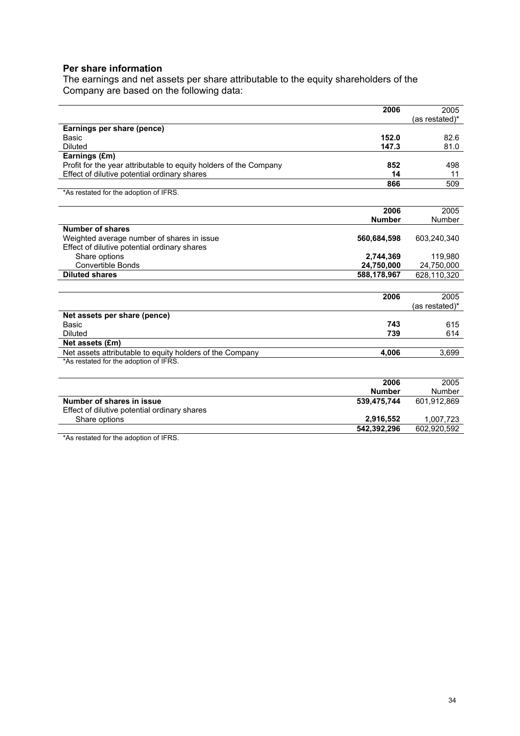#### **Per share information**

The earnings and net assets per share attributable to the equity shareholders of the Company are based on the following data:

| 2006                                                                     | 2005           |
|--------------------------------------------------------------------------|----------------|
|                                                                          | (as restated)* |
| Earnings per share (pence)                                               |                |
| 152.0<br>Basic                                                           | 82.6           |
| 147.3<br><b>Diluted</b>                                                  | 81.0           |
| Earnings (£m)                                                            |                |
| Profit for the year attributable to equity holders of the Company<br>852 | 498            |
| Effect of dilutive potential ordinary shares<br>14                       | 11             |
| 866                                                                      | 509            |
| *As restated for the adoption of IFRS.                                   |                |
|                                                                          |                |
| 2006                                                                     | 2005           |
| <b>Number</b>                                                            | <b>Number</b>  |
| <b>Number of shares</b>                                                  |                |
| Weighted average number of shares in issue<br>560,684,598                | 603,240,340    |
| Effect of dilutive potential ordinary shares                             |                |
| Share options<br>2,744,369                                               | 119,980        |
| <b>Convertible Bonds</b><br>24,750,000                                   | 24,750,000     |
| <b>Diluted shares</b><br>588,178,967                                     | 628,110,320    |
|                                                                          |                |
| 2006                                                                     | 2005           |
|                                                                          | (as restated)* |
| Net assets per share (pence)                                             |                |
| Basic<br>743                                                             | 615            |
| 739<br><b>Diluted</b>                                                    | 614            |
| Net assets (£m)                                                          |                |
| Net assets attributable to equity holders of the Company<br>4,006        | 3,699          |
| *As restated for the adoption of IFRS.                                   |                |
|                                                                          |                |
| 2006                                                                     | 2005           |
| <b>Number</b>                                                            | Number         |
| Number of shares in issue<br>539,475,744                                 | 601,912,869    |
| Effect of dilutive potential ordinary shares                             |                |
| Share options<br>2,916,552                                               | 1,007,723      |
| 542,392,296                                                              | 602,920,592    |

\*As restated for the adoption of IFRS.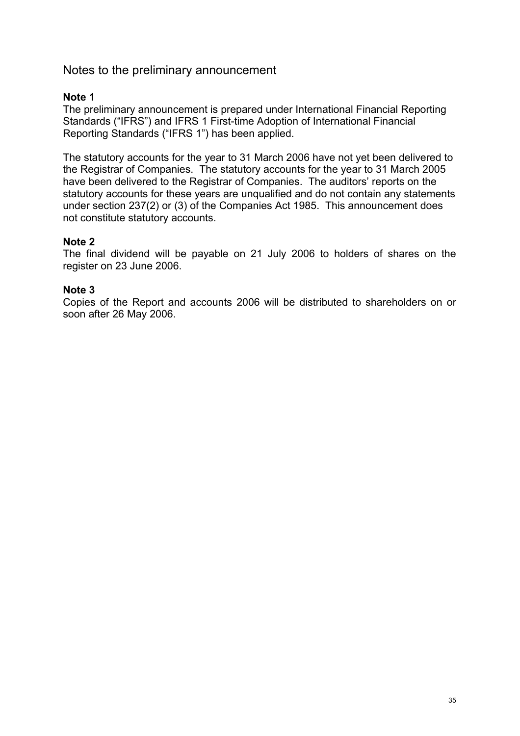## Notes to the preliminary announcement

### **Note 1**

The preliminary announcement is prepared under International Financial Reporting Standards ("IFRS") and IFRS 1 First-time Adoption of International Financial Reporting Standards ("IFRS 1") has been applied.

The statutory accounts for the year to 31 March 2006 have not yet been delivered to the Registrar of Companies. The statutory accounts for the year to 31 March 2005 have been delivered to the Registrar of Companies. The auditors' reports on the statutory accounts for these years are unqualified and do not contain any statements under section 237(2) or (3) of the Companies Act 1985. This announcement does not constitute statutory accounts.

### **Note 2**

The final dividend will be payable on 21 July 2006 to holders of shares on the register on 23 June 2006.

### **Note 3**

Copies of the Report and accounts 2006 will be distributed to shareholders on or soon after 26 May 2006.